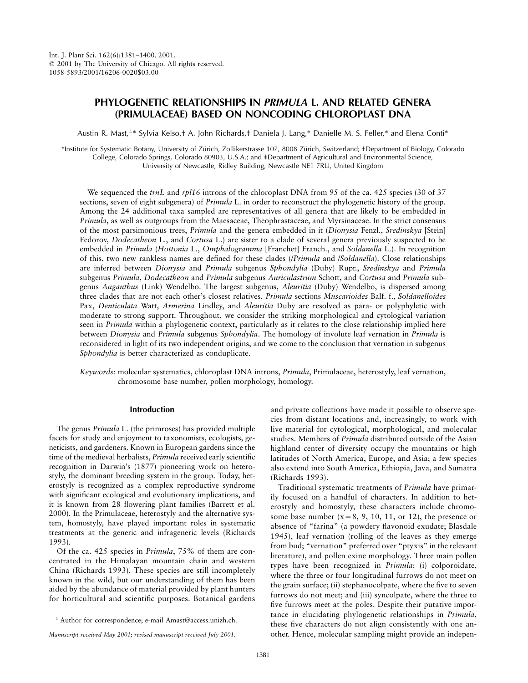# **PHYLOGENETIC RELATIONSHIPS IN** *PRIMULA* **L. AND RELATED GENERA (PRIMULACEAE) BASED ON NONCODING CHLOROPLAST DNA**

Austin R. Mast,<sup>1,</sup>\* Sylvia Kelso,† A. John Richards,‡ Daniela J. Lang,\* Danielle M. S. Feller,\* and Elena Conti\*

\*Institute for Systematic Botany, University of Zürich, Zollikerstrasse 107, 8008 Zürich, Switzerland; †Department of Biology, Colorado College, Colorado Springs, Colorado 80903, U.S.A.; and ‡Department of Agricultural and Environmental Science, University of Newcastle, Ridley Building, Newcastle NE1 7RU, United Kingdom

We sequenced the *trnL* and *rpl16* introns of the chloroplast DNA from 95 of the ca. 425 species (30 of 37 sections, seven of eight subgenera) of *Primula* L. in order to reconstruct the phylogenetic history of the group. Among the 24 additional taxa sampled are representatives of all genera that are likely to be embedded in *Primula*, as well as outgroups from the Maesaceae, Theophrastaceae, and Myrsinaceae. In the strict consensus of the most parsimonious trees, *Primula* and the genera embedded in it (*Dionysia* Fenzl., *Sredinskya* [Stein] Fedorov, *Dodecatheon* L., and *Cortusa* L.) are sister to a clade of several genera previously suspected to be embedded in *Primula* (*Hottonia* L., *Omphalogramma* [Franchet] Franch., and *Soldanella* L.). In recognition of this, two new rankless names are defined for these clades (/*Primula* and /*Soldanella*). Close relationships are inferred between *Dionysia* and *Primula* subgenus *Sphondylia* (Duby) Rupr., *Sredinskya* and *Primula* subgenus *Primula*, *Dodecatheon* and *Primula* subgenus *Auriculastrum* Schott, and *Cortusa* and *Primula* subgenus *Auganthus* (Link) Wendelbo. The largest subgenus, *Aleuritia* (Duby) Wendelbo, is dispersed among three clades that are not each other's closest relatives. *Primula* sections *Muscarioides* Balf. f., *Soldanelloides* Pax, *Denticulata* Watt, *Armerina* Lindley, and *Aleuritia* Duby are resolved as para- or polyphyletic with moderate to strong support. Throughout, we consider the striking morphological and cytological variation seen in *Primula* within a phylogenetic context, particularly as it relates to the close relationship implied here between *Dionysia* and *Primula* subgenus *Sphondylia*. The homology of involute leaf vernation in *Primula* is reconsidered in light of its two independent origins, and we come to the conclusion that vernation in subgenus *Sphondylia* is better characterized as conduplicate.

*Keywords:* molecular systematics, chloroplast DNA introns, *Primula*, Primulaceae, heterostyly, leaf vernation, chromosome base number, pollen morphology, homology.

## **Introduction**

The genus *Primula* L. (the primroses) has provided multiple facets for study and enjoyment to taxonomists, ecologists, geneticists, and gardeners. Known in European gardens since the time of the medieval herbalists, *Primula* received early scientific recognition in Darwin's (1877) pioneering work on heterostyly, the dominant breeding system in the group. Today, heterostyly is recognized as a complex reproductive syndrome with significant ecological and evolutionary implications, and it is known from 28 flowering plant families (Barrett et al. 2000). In the Primulaceae, heterostyly and the alternative system, homostyly, have played important roles in systematic treatments at the generic and infrageneric levels (Richards 1993).

Of the ca. 425 species in *Primula*, 75% of them are concentrated in the Himalayan mountain chain and western China (Richards 1993). These species are still incompletely known in the wild, but our understanding of them has been aided by the abundance of material provided by plant hunters for horticultural and scientific purposes. Botanical gardens

<sup>1</sup> Author for correspondence; e-mail Amast@access.unizh.ch.

*Manuscript received May 2001; revised manuscript received July 2001.*

and private collections have made it possible to observe species from distant locations and, increasingly, to work with live material for cytological, morphological, and molecular studies. Members of *Primula* distributed outside of the Asian highland center of diversity occupy the mountains or high latitudes of North America, Europe, and Asia; a few species also extend into South America, Ethiopia, Java, and Sumatra (Richards 1993).

Traditional systematic treatments of *Primula* have primarily focused on a handful of characters. In addition to heterostyly and homostyly, these characters include chromosome base number  $(x=8, 9, 10, 11, or 12)$ , the presence or absence of "farina" (a powdery flavonoid exudate; Blasdale 1945), leaf vernation (rolling of the leaves as they emerge from bud; "vernation" preferred over "ptyxis" in the relevant literature), and pollen exine morphology. Three main pollen types have been recognized in *Primula*: (i) colporoidate, where the three or four longitudinal furrows do not meet on the grain surface; (ii) stephanocolpate, where the five to seven furrows do not meet; and (iii) syncolpate, where the three to five furrows meet at the poles. Despite their putative importance in elucidating phylogenetic relationships in *Primula*, these five characters do not align consistently with one another. Hence, molecular sampling might provide an indepen-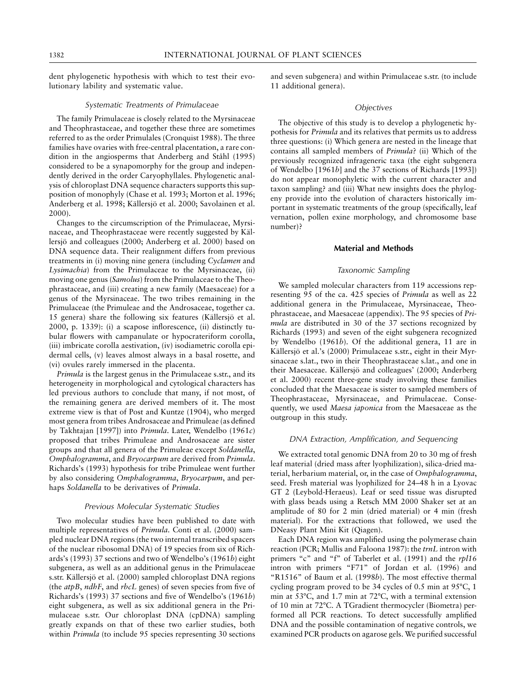dent phylogenetic hypothesis with which to test their evolutionary lability and systematic value.

## *Systematic Treatments of Primulaceae*

The family Primulaceae is closely related to the Myrsinaceae and Theophrastaceae, and together these three are sometimes referred to as the order Primulales (Cronquist 1988). The three families have ovaries with free-central placentation, a rare condition in the angiosperms that Anderberg and Ståhl (1995) considered to be a synapomorphy for the group and independently derived in the order Caryophyllales. Phylogenetic analysis of chloroplast DNA sequence characters supports this supposition of monophyly (Chase et al. 1993; Morton et al. 1996; Anderberg et al. 1998; Källersjö et al. 2000; Savolainen et al. 2000).

Changes to the circumscription of the Primulaceae, Myrsinaceae, and Theophrastaceae were recently suggested by Källersjo¨ and colleagues (2000; Anderberg et al. 2000) based on DNA sequence data. Their realignment differs from previous treatments in (i) moving nine genera (including *Cyclamen* and *Lysimachia*) from the Primulaceae to the Myrsinaceae, (ii) moving one genus (*Samolus*) from the Primulaceae to the Theophrastaceae, and (iii) creating a new family (Maesaceae) for a genus of the Myrsinaceae. The two tribes remaining in the Primulaceae (the Primuleae and the Androsaceae, together ca. 15 genera) share the following six features (Källersjö et al. 2000, p. 1339): (i) a scapose inflorescence, (ii) distinctly tubular flowers with campanulate or hypocrateriform corolla, (iii) imbricate corolla aestivation, (iv) isodiametric corolla epidermal cells, (v) leaves almost always in a basal rosette, and (vi) ovules rarely immersed in the placenta.

*Primula* is the largest genus in the Primulaceae s.str., and its heterogeneity in morphological and cytological characters has led previous authors to conclude that many, if not most, of the remaining genera are derived members of it. The most extreme view is that of Post and Kuntze (1904), who merged most genera from tribes Androsaceae and Primuleae (as defined by Takhtajan [1997]) into *Primula*. Later, Wendelbo (1961*c*) proposed that tribes Primuleae and Androsaceae are sister groups and that all genera of the Primuleae except *Soldanella*, *Omphalogramma*, and *Bryocarpum* are derived from *Primula*. Richards's (1993) hypothesis for tribe Primuleae went further by also considering *Omphalogramma*, *Bryocarpum*, and perhaps *Soldanella* to be derivatives of *Primula*.

## *Previous Molecular Systematic Studies*

Two molecular studies have been published to date with multiple representatives of *Primula*. Conti et al. (2000) sampled nuclear DNA regions (the two internal transcribed spacers of the nuclear ribosomal DNA) of 19 species from six of Richards's (1993) 37 sections and two of Wendelbo's (1961*b*) eight subgenera, as well as an additional genus in the Primulaceae s.str. Källersjö et al. (2000) sampled chloroplast DNA regions (the *atpB*, *ndhF*, and *rbcL* genes) of seven species from five of Richards's (1993) 37 sections and five of Wendelbo's (1961*b*) eight subgenera, as well as six additional genera in the Primulaceae s.str. Our chloroplast DNA (cpDNA) sampling greatly expands on that of these two earlier studies, both within *Primula* (to include 95 species representing 30 sections and seven subgenera) and within Primulaceae s.str. (to include 11 additional genera).

#### *Objectives*

The objective of this study is to develop a phylogenetic hypothesis for *Primula* and its relatives that permits us to address three questions: (i) Which genera are nested in the lineage that contains all sampled members of *Primula*? (ii) Which of the previously recognized infrageneric taxa (the eight subgenera of Wendelbo [1961*b*] and the 37 sections of Richards [1993]) do not appear monophyletic with the current character and taxon sampling? and (iii) What new insights does the phylogeny provide into the evolution of characters historically important in systematic treatments of the group (specifically, leaf vernation, pollen exine morphology, and chromosome base number)?

## **Material and Methods**

## *Taxonomic Sampling*

We sampled molecular characters from 119 accessions representing 95 of the ca. 425 species of *Primula* as well as 22 additional genera in the Primulaceae, Myrsinaceae, Theophrastaceae, and Maesaceae (appendix). The 95 species of *Primula* are distributed in 30 of the 37 sections recognized by Richards (1993) and seven of the eight subgenera recognized by Wendelbo (1961*b*). Of the additional genera, 11 are in Källersjö et al.'s (2000) Primulaceae s.str., eight in their Myrsinaceae s.lat., two in their Theophrastaceae s.lat., and one in their Maesaceae. Källersjö and colleagues' (2000; Anderberg et al. 2000) recent three-gene study involving these families concluded that the Maesaceae is sister to sampled members of Theophrastaceae, Myrsinaceae, and Primulaceae. Consequently, we used *Maesa japonica* from the Maesaceae as the outgroup in this study.

#### *DNA Extraction, Amplification, and Sequencing*

We extracted total genomic DNA from 20 to 30 mg of fresh leaf material (dried mass after lyophilization), silica-dried material, herbarium material, or, in the case of *Omphalogramma*, seed. Fresh material was lyophilized for 24–48 h in a Lyovac GT 2 (Leybold-Heraeus). Leaf or seed tissue was disrupted with glass beads using a Retsch MM 2000 Shaker set at an amplitude of 80 for 2 min (dried material) or 4 min (fresh material). For the extractions that followed, we used the DNeasy Plant Mini Kit (Qiagen).

Each DNA region was amplified using the polymerase chain reaction (PCR; Mullis and Faloona 1987): the *trnL* intron with primers "c" and "f" of Taberlet et al. (1991) and the *rpl16* intron with primers "F71" of Jordan et al. (1996) and "R1516" of Baum et al. (1998*b*). The most effective thermal cycling program proved to be 34 cycles of 0.5 min at 95°C, 1 min at 53°C, and 1.7 min at 72°C, with a terminal extension of 10 min at 72-C. A TGradient thermocycler (Biometra) performed all PCR reactions. To detect successfully amplified DNA and the possible contamination of negative controls, we examined PCR products on agarose gels. We purified successful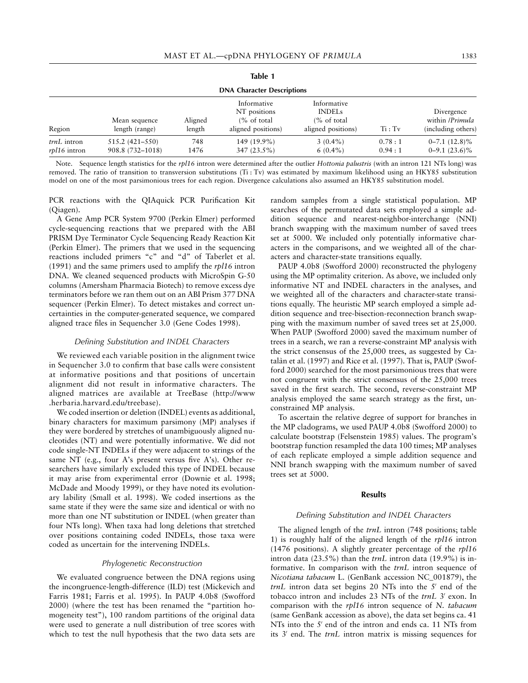**Table 1**

| TANIE T                              |                                     |                   |                                                                             |                                                                              |                  |                                                     |
|--------------------------------------|-------------------------------------|-------------------|-----------------------------------------------------------------------------|------------------------------------------------------------------------------|------------------|-----------------------------------------------------|
| <b>DNA Character Descriptions</b>    |                                     |                   |                                                                             |                                                                              |                  |                                                     |
| Region                               | Mean sequence<br>length (range)     | Aligned<br>length | Informative<br>NT positions<br>$\frac{9}{6}$ of total<br>aligned positions) | Informative<br><b>INDELs</b><br>$\frac{6}{6}$ of total<br>aligned positions) | Ti: Tv           | Divergence<br>within /Primula<br>(including others) |
| <i>trnL</i> intron<br>$rbl16$ intron | 515.2 (421-550)<br>908.8 (732-1018) | 748<br>1476       | 149 (19.9%)<br>$347(23.5\%)$                                                | $3(0.4\%)$<br>$6(0.4\%)$                                                     | 0.78:1<br>0.94:1 | $0 - 7.1(12.8)\%$<br>$0 - 9.1(23.6)\%$              |

Note. Sequence length statistics for the *rpl16* intron were determined after the outlier *Hottonia palustris* (with an intron 121 NTs long) was removed. The ratio of transition to transversion substitutions (Ti : Tv) was estimated by maximum likelihood using an HKY85 substitution model on one of the most parsimonious trees for each region. Divergence calculations also assumed an HKY85 substitution model.

PCR reactions with the QIAquick PCR Purification Kit (Qiagen).

A Gene Amp PCR System 9700 (Perkin Elmer) performed cycle-sequencing reactions that we prepared with the ABI PRISM Dye Terminator Cycle Sequencing Ready Reaction Kit (Perkin Elmer). The primers that we used in the sequencing reactions included primers "c" and "d" of Taberlet et al. (1991) and the same primers used to amplify the *rpl16* intron DNA. We cleaned sequenced products with MicroSpin G-50 columns (Amersham Pharmacia Biotech) to remove excess dye terminators before we ran them out on an ABI Prism 377 DNA sequencer (Perkin Elmer). To detect mistakes and correct uncertainties in the computer-generated sequence, we compared aligned trace files in Sequencher 3.0 (Gene Codes 1998).

## *Defining Substitution and INDEL Characters*

We reviewed each variable position in the alignment twice in Sequencher 3.0 to confirm that base calls were consistent at informative positions and that positions of uncertain alignment did not result in informative characters. The aligned matrices are available at TreeBase (http://www .herbaria.harvard.edu/treebase).

We coded insertion or deletion (INDEL) events as additional, binary characters for maximum parsimony (MP) analyses if they were bordered by stretches of unambiguously aligned nucleotides (NT) and were potentially informative. We did not code single-NT INDELs if they were adjacent to strings of the same NT (e.g., four A's present versus five A's). Other researchers have similarly excluded this type of INDEL because it may arise from experimental error (Downie et al. 1998; McDade and Moody 1999), or they have noted its evolutionary lability (Small et al. 1998). We coded insertions as the same state if they were the same size and identical or with no more than one NT substitution or INDEL (when greater than four NTs long). When taxa had long deletions that stretched over positions containing coded INDELs, those taxa were coded as uncertain for the intervening INDELs.

#### *Phylogenetic Reconstruction*

We evaluated congruence between the DNA regions using the incongruence-length-difference (ILD) test (Mickevich and Farris 1981; Farris et al. 1995). In PAUP 4.0b8 (Swofford 2000) (where the test has been renamed the "partition homogeneity test"), 100 random partitions of the original data were used to generate a null distribution of tree scores with which to test the null hypothesis that the two data sets are random samples from a single statistical population. MP searches of the permutated data sets employed a simple addition sequence and nearest-neighbor-interchange (NNI) branch swapping with the maximum number of saved trees set at 5000. We included only potentially informative characters in the comparisons, and we weighted all of the characters and character-state transitions equally.

PAUP 4.0b8 (Swofford 2000) reconstructed the phylogeny using the MP optimality criterion. As above, we included only informative NT and INDEL characters in the analyses, and we weighted all of the characters and character-state transitions equally. The heuristic MP search employed a simple addition sequence and tree-bisection-reconnection branch swapping with the maximum number of saved trees set at 25,000. When PAUP (Swofford 2000) saved the maximum number of trees in a search, we ran a reverse-constraint MP analysis with the strict consensus of the 25,000 trees, as suggested by Catalàn et al. (1997) and Rice et al. (1997). That is, PAUP (Swofford 2000) searched for the most parsimonious trees that were not congruent with the strict consensus of the 25,000 trees saved in the first search. The second, reverse-constraint MP analysis employed the same search strategy as the first, unconstrained MP analysis.

To ascertain the relative degree of support for branches in the MP cladograms, we used PAUP 4.0b8 (Swofford 2000) to calculate bootstrap (Felsenstein 1985) values. The program's bootstrap function resampled the data 100 times; MP analyses of each replicate employed a simple addition sequence and NNI branch swapping with the maximum number of saved trees set at 5000.

## **Results**

#### *Defining Substitution and INDEL Characters*

The aligned length of the *trnL* intron (748 positions; table 1) is roughly half of the aligned length of the *rpl16* intron (1476 positions). A slightly greater percentage of the *rpl16* intron data (23.5%) than the *trnL* intron data (19.9%) is informative. In comparison with the *trnL* intron sequence of *Nicotiana tabacum* L. (GenBank accession NC\_001879), the *trnL* intron data set begins 20 NTs into the 5' end of the tobacco intron and includes 23 NTs of the *trnL* 3' exon. In comparison with the *rpl16* intron sequence of *N. tabacum* (same GenBank accession as above), the data set begins ca. 41 NTs into the 5' end of the intron and ends ca. 11 NTs from its 3' end. The *trnL* intron matrix is missing sequences for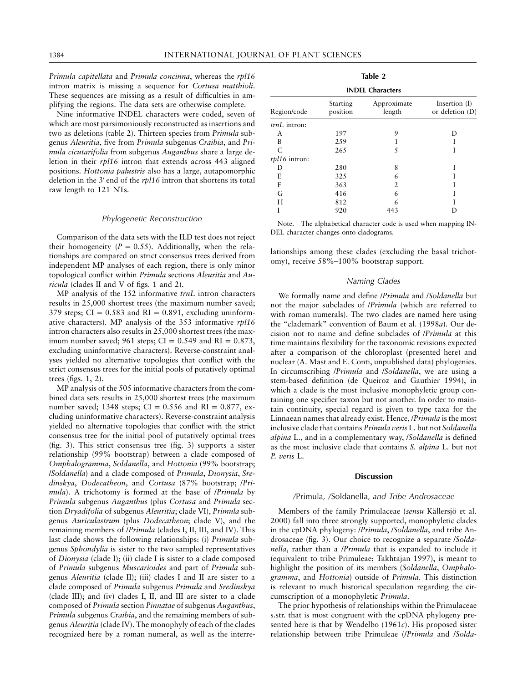*Primula capitellata* and *Primula concinna*, whereas the *rpl16* intron matrix is missing a sequence for *Cortusa matthioli*. These sequences are missing as a result of difficulties in amplifying the regions. The data sets are otherwise complete.

Nine informative INDEL characters were coded, seven of which are most parsimoniously reconstructed as insertions and two as deletions (table 2). Thirteen species from *Primula* subgenus *Aleuritia*, five from *Primula* subgenus *Craibia*, and *Primula cicutarifolia* from subgenus *Auganthus* share a large deletion in their *rpl16* intron that extends across 443 aligned positions. *Hottonia palustris* also has a large, autapomorphic deletion in the 3' end of the *rpl16* intron that shortens its total raw length to 121 NTs.

## *Phylogenetic Reconstruction*

Comparison of the data sets with the ILD test does not reject their homogeneity ( $P = 0.55$ ). Additionally, when the relationships are compared on strict consensus trees derived from independent MP analyses of each region, there is only minor topological conflict within *Primula* sections *Aleuritia* and *Auricula* (clades II and V of figs. 1 and 2).

MP analysis of the 152 informative *trnL* intron characters results in 25,000 shortest trees (the maximum number saved; 379 steps; CI =  $0.583$  and RI = 0.891, excluding uninformative characters). MP analysis of the 353 informative *rpl16* intron characters also results in 25,000 shortest trees (the maximum number saved; 961 steps; CI =  $0.549$  and RI =  $0.873$ , excluding uninformative characters). Reverse-constraint analyses yielded no alternative topologies that conflict with the strict consensus trees for the initial pools of putatively optimal trees (figs. 1, 2).

MP analysis of the 505 informative characters from the combined data sets results in 25,000 shortest trees (the maximum number saved; 1348 steps; CI =  $0.556$  and RI =  $0.877$ , excluding uninformative characters). Reverse-constraint analysis yielded no alternative topologies that conflict with the strict consensus tree for the initial pool of putatively optimal trees (fig. 3). This strict consensus tree (fig. 3) supports a sister relationship (99% bootstrap) between a clade composed of *Omphalogramma*, *Soldanella*, and *Hottonia* (99% bootstrap; /*Soldanella*) and a clade composed of *Primula*, *Dionysia*, *Sredinskya*, *Dodecatheon*, and *Cortusa* (87% bootstrap; /*Primula*). A trichotomy is formed at the base of /*Primula* by *Primula* subgenus *Auganthus* (plus *Cortusa* and *Primula* section *Dryadifolia* of subgenus *Aleuritia*; clade VI), *Primula* subgenus *Auriculastrum* (plus *Dodecatheon*; clade V), and the remaining members of /*Primula* (clades I, II, III, and IV). This last clade shows the following relationships: (i) *Primula* subgenus *Sphondylia* is sister to the two sampled representatives of *Dionysia* (clade I); (ii) clade I is sister to a clade composed of *Primula* subgenus *Muscarioides* and part of *Primula* subgenus *Aleuritia* (clade II); (iii) clades I and II are sister to a clade composed of *Primula* subgenus *Primula* and *Sredinskya* (clade III); and (iv) clades I, II, and III are sister to a clade composed of *Primula* section *Pinnatae* of subgenus *Auganthus*, *Primula* subgenus *Craibia*, and the remaining members of subgenus *Aleuritia* (clade IV). The monophyly of each of the clades recognized here by a roman numeral, as well as the interre-

| Table 2<br><b>INDEL Characters</b> |     |                |   |  |
|------------------------------------|-----|----------------|---|--|
|                                    |     |                |   |  |
| $trnL$ intron:                     |     |                |   |  |
| А                                  | 197 | 9              | D |  |
| B                                  | 259 | 1              | I |  |
| C                                  | 265 | 5              | I |  |
| $rpl16$ intron:                    |     |                |   |  |
| D                                  | 280 | 8              | I |  |
| E                                  | 325 | 6              |   |  |
| F                                  | 363 | $\overline{2}$ | I |  |
| G                                  | 416 | 6              |   |  |
| H                                  | 812 | 6              |   |  |
|                                    | 920 | 443            | D |  |

Note. The alphabetical character code is used when mapping IN-DEL character changes onto cladograms.

lationships among these clades (excluding the basal trichotomy), receive 58%–100% bootstrap support.

## *Naming Clades*

We formally name and define /*Primula* and /*Soldanella* but not the major subclades of /*Primula* (which are referred to with roman numerals). The two clades are named here using the "clademark" convention of Baum et al. (1998*a*). Our decision not to name and define subclades of /*Primula* at this time maintains flexibility for the taxonomic revisions expected after a comparison of the chloroplast (presented here) and nuclear (A. Mast and E. Conti, unpublished data) phylogenies. In circumscribing /*Primula* and /*Soldanella*, we are using a stem-based definition (de Queiroz and Gauthier 1994), in which a clade is the most inclusive monophyletic group containing one specifier taxon but not another. In order to maintain continuity, special regard is given to type taxa for the Linnaean names that already exist. Hence, /*Primula* is the most inclusive clade that contains *Primula veris* L. but not *Soldanella alpina* L., and in a complementary way, /*Soldanella* is defined as the most inclusive clade that contains *S. alpina* L. but not *P. veris* L.

## **Discussion**

## */*Primula*, /*Soldanella*, and Tribe Androsaceae*

Members of the family Primulaceae (sensu Källersjö et al. 2000) fall into three strongly supported, monophyletic clades in the cpDNA phylogeny: /*Primula*, /*Soldanella*, and tribe Androsaceae (fig. 3). Our choice to recognize a separate /*Soldanella*, rather than a /*Primula* that is expanded to include it (equivalent to tribe Primuleae; Takhtajan 1997), is meant to highlight the position of its members (*Soldanella*, *Omphalogramma*, and *Hottonia*) outside of *Primula*. This distinction is relevant to much historical speculation regarding the circumscription of a monophyletic *Primula*.

The prior hypothesis of relationships within the Primulaceae s.str. that is most congruent with the cpDNA phylogeny presented here is that by Wendelbo (1961*c*). His proposed sister relationship between tribe Primuleae (/*Primula* and /*Solda-*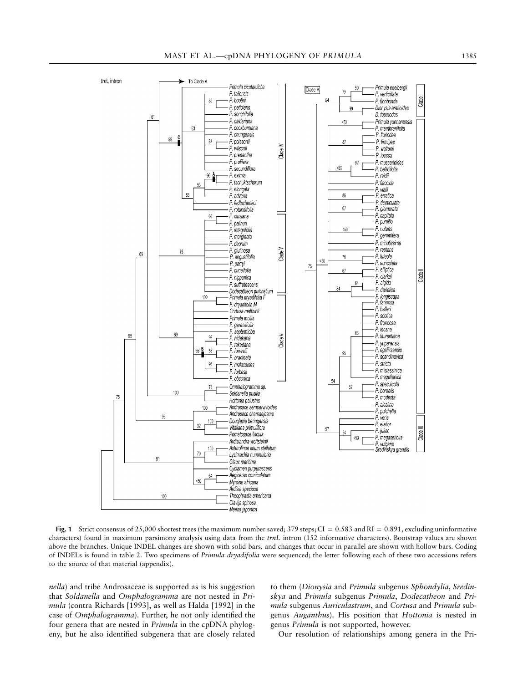

**Fig. 1** Strict consensus of 25,000 shortest trees (the maximum number saved; 379 steps; CI = 0.583 and RI = 0.891, excluding uninformative characters) found in maximum parsimony analysis using data from the *trnL* intron (152 informative characters). Bootstrap values are shown above the branches. Unique INDEL changes are shown with solid bars, and changes that occur in parallel are shown with hollow bars. Coding of INDELs is found in table 2. Two specimens of *Primula dryadifolia* were sequenced; the letter following each of these two accessions refers to the source of that material (appendix).

*nella*) and tribe Androsaceae is supported as is his suggestion that *Soldanella* and *Omphalogramma* are not nested in *Primula* (contra Richards [1993], as well as Halda [1992] in the case of *Omphalogramma*). Further, he not only identified the four genera that are nested in *Primula* in the cpDNA phylogeny, but he also identified subgenera that are closely related

to them (*Dionysia* and *Primula* subgenus *Sphondylia*, *Sredinskya* and *Primula* subgenus *Primula*, *Dodecatheon* and *Primula* subgenus *Auriculastrum*, and *Cortusa* and *Primula* subgenus *Auganthus*). His position that *Hottonia* is nested in genus *Primula* is not supported, however.

Our resolution of relationships among genera in the Pri-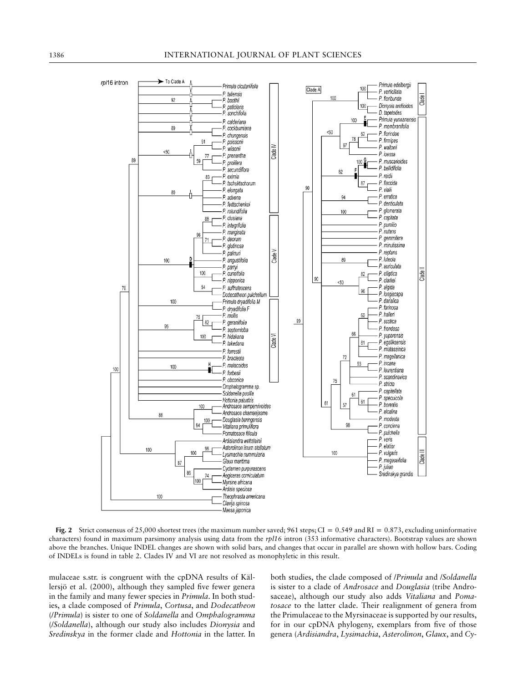

**Fig. 2** Strict consensus of 25,000 shortest trees (the maximum number saved;  $961$  steps; CI = 0.549 and RI = 0.873, excluding uninformative characters) found in maximum parsimony analysis using data from the *rpl16* intron (353 informative characters). Bootstrap values are shown above the branches. Unique INDEL changes are shown with solid bars, and changes that occur in parallel are shown with hollow bars. Coding of INDELs is found in table 2. Clades IV and VI are not resolved as monophyletic in this result.

mulaceae s.str. is congruent with the cpDNA results of Källersjö et al. (2000), although they sampled five fewer genera in the family and many fewer species in *Primula*. In both studies, a clade composed of *Primula*, *Cortusa*, and *Dodecatheon* (/*Primula*) is sister to one of *Soldanella* and *Omphalogramma* (/*Soldanella*), although our study also includes *Dionysia* and *Sredinskya* in the former clade and *Hottonia* in the latter. In

both studies, the clade composed of /*Primula* and /*Soldanella* is sister to a clade of *Androsace* and *Douglasia* (tribe Androsaceae), although our study also adds *Vitaliana* and *Pomatosace* to the latter clade. Their realignment of genera from the Primulaceae to the Myrsinaceae is supported by our results, for in our cpDNA phylogeny, exemplars from five of those genera (*Ardisiandra*, *Lysimachia*, *Asterolinon*, *Glaux*, and *Cy-*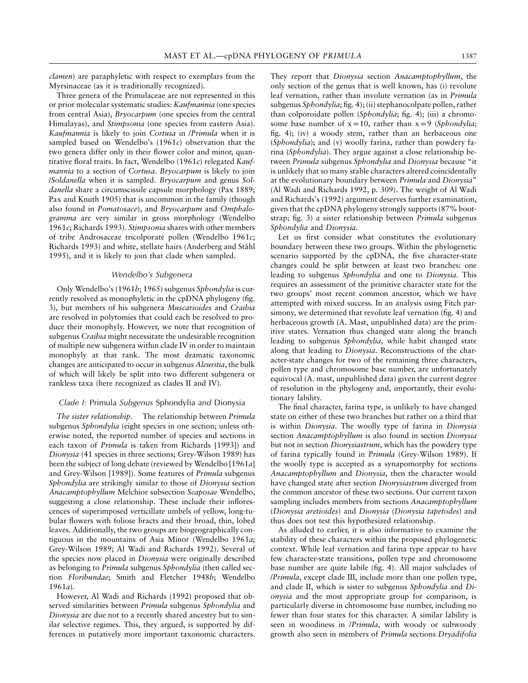*clamen*) are paraphyletic with respect to exemplars from the Myrsinaceae (as it is traditionally recognized).

Three genera of the Primulaceae are not represented in this or prior molecular systematic studies: *Kaufmannia* (one species from central Asia), *Bryocarpum* (one species from the central Himalayas), and *Stimpsonia* (one species from eastern Asia). *Kaufmannia* is likely to join *Cortusa* in /*Primula* when it is sampled based on Wendelbo's (1961*c*) observation that the two genera differ only in their flower color and minor, quantitative floral traits. In fact, Wendelbo (1961*c*) relegated *Kaufmannia* to a section of *Cortusa*. *Bryocarpum* is likely to join /*Soldanella* when it is sampled. *Bryocarpum* and genus *Soldanella* share a circumscissile capsule morphology (Pax 1889; Pax and Knuth 1905) that is uncommon in the family (though also found in *Pomatosace*), and *Bryocarpum* and *Omphalogramma* are very similar in gross morphology (Wendelbo 1961*c*; Richards 1993). *Stimpsonia* shares with other members of tribe Androsaceae tricolporate pollen (Wendelbo 1961*c*; Richards 1993) and white, stellate hairs (Anderberg and Ståhl 1995), and it is likely to join that clade when sampled.

# *Wendelbo's Subgenera*

Only Wendelbo's (1961*b*; 1965) subgenus *Sphondylia* is currently resolved as monophyletic in the cpDNA phylogeny (fig. 3), but members of his subgenera *Muscarioides* and *Craibia* are resolved in polytomies that could each be resolved to produce their monophyly. However, we note that recognition of subgenus *Craibia* might necessitate the undesirable recognition of multiple new subgenera within clade IV in order to maintain monophyly at that rank. The most dramatic taxonomic changes are anticipated to occur in subgenus *Aleuritia*, the bulk of which will likely be split into two different subgenera or rankless taxa (here recognized as clades II and IV).

# *Clade I:* Primula *Subgenus* Sphondylia *and* Dionysia

*The sister relationship*. The relationship between *Primula* subgenus *Sphondylia* (eight species in one section; unless otherwise noted, the reported number of species and sections in each taxon of *Primula* is taken from Richards [1993]) and *Dionysia* (41 species in three sections; Grey-Wilson 1989) has been the subject of long debate (reviewed by Wendelbo [1961*a*] and Grey-Wilson [1989]). Some features of *Primula* subgenus *Sphondylia* are strikingly similar to those of *Dionysia* section *Anacamptophyllum* Melchior subsection *Scaposae* Wendelbo, suggesting a close relationship. These include their inflorescences of superimposed verticillate umbels of yellow, long-tubular flowers with foliose bracts and their broad, thin, lobed leaves. Additionally, the two groups are biogeographically contiguous in the mountains of Asia Minor (Wendelbo 1961*a*; Grey-Wilson 1989; Al Wadi and Richards 1992). Several of the species now placed in *Dionysia* were originally described as belonging to *Primula* subgenus *Sphondylia* (then called section *Floribundae*; Smith and Fletcher 1948*b*; Wendelbo 1961*a*).

However, Al Wadi and Richards (1992) proposed that observed similarities between *Primula* subgenus *Sphondylia* and *Dionysia* are due not to a recently shared ancestry but to similar selective regimes. This, they argued, is supported by differences in putatively more important taxonomic characters.

They report that *Dionysia* section *Anacamptophyllum*, the only section of the genus that is well known, has (i) revolute leaf vernation, rather than involute vernation (as in *Primula* subgenus *Sphondylia*; fig. 4); (ii) stephanocolpate pollen, rather than colporoidate pollen (*Sphondylia*; fig. 4); (iii) a chromosome base number of  $x=10$ , rather than  $x=9$  (*Sphondylia*; fig. 4); (iv) a woody stem, rather than an herbaceous one (*Sphondylia*); and (v) woolly farina, rather than powdery farina (*Sphondylia*). They argue against a close relationship between *Primula* subgenus *Sphondylia* and *Dionysia* because "it is unlikely that so many stable characters altered coincidentally at the evolutionary boundary between *Primula* and *Dionysia*" (Al Wadi and Richards 1992, p. 309). The weight of Al Wadi and Richards's (1992) argument deserves further examination, given that the cpDNA phylogeny strongly supports (87% bootstrap; fig. 3) a sister relationship between *Primula* subgenus *Sphondylia* and *Dionysia*.

Let us first consider what constitutes the evolutionary boundary between these two groups. Within the phylogenetic scenario supported by the cpDNA, the five character-state changes could be split between at least two branches: one leading to subgenus *Sphondylia* and one to *Dionysia*. This requires an assessment of the primitive character state for the two groups' most recent common ancestor, which we have attempted with mixed success. In an analysis using Fitch parsimony, we determined that revolute leaf vernation (fig. 4) and herbaceous growth (A. Mast, unpublished data) are the primitive states. Vernation thus changed state along the branch leading to subgenus *Sphondylia*, while habit changed state along that leading to *Dionysia*. Reconstructions of the character-state changes for two of the remaining three characters, pollen type and chromosome base number, are unfortunately equivocal (A. mast, unpublished data) given the current degree of resolution in the phylogeny and, importantly, their evolutionary lability.

The final character, farina type, is unlikely to have changed state on either of these two branches but rather on a third that is within *Dionysia*. The woolly type of farina in *Dionysia* section *Anacamptophyllum* is also found in section *Dionysia* but not in section *Dionysiastrum*, which has the powdery type of farina typically found in *Primula* (Grey-Wilson 1989). If the woolly type is accepted as a synapomorphy for sections *Anacamptophyllum* and *Dionysia*, then the character would have changed state after section *Dionysiastrum* diverged from the common ancestor of these two sections. Our current taxon sampling includes members from sections *Anacamptophyllum* (*Dionysia aretioides*) and *Dionysia* (*Dionysia tapetodes*) and thus does not test this hypothesized relationship.

As alluded to earlier, it is also informative to examine the stability of these characters within the proposed phylogenetic context. While leaf vernation and farina type appear to have few character-state transitions, pollen type and chromosome base number are quite labile (fig. 4). All major subclades of /*Primula*, except clade III, include more than one pollen type, and clade II, which is sister to subgenus *Sphondylia* and *Dionysia* and the most appropriate group for comparison, is particularly diverse in chromosome base number, including no fewer than four states for this character. A similar lability is seen in woodiness in /*Primula*, with woody or subwoody growth also seen in members of *Primula* sections *Dryadifolia*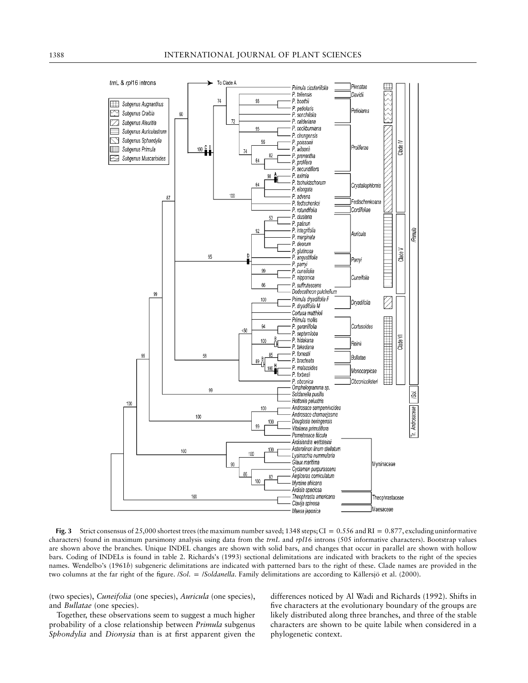

**Fig. 3** Strict consensus of 25,000 shortest trees (the maximum number saved; 1348 steps;  $CI = 0.556$  and  $RI = 0.877$ , excluding uninformative characters) found in maximum parsimony analysis using data from the *trnL* and *rpl16* introns (505 informative characters). Bootstrap values are shown above the branches. Unique INDEL changes are shown with solid bars, and changes that occur in parallel are shown with hollow bars. Coding of INDELs is found in table 2. Richards's (1993) sectional delimitations are indicated with brackets to the right of the species names. Wendelbo's (1961*b*) subgeneric delimitations are indicated with patterned bars to the right of these. Clade names are provided in the two columns at the far right of the figure. /*Sol.* = /*Soldanella*. Family delimitations are according to Källersjö et al. (2000).

(two species), *Cuneifolia* (one species), *Auricula* (one species), and *Bullatae* (one species).

Together, these observations seem to suggest a much higher probability of a close relationship between *Primula* subgenus *Sphondylia* and *Dionysia* than is at first apparent given the differences noticed by Al Wadi and Richards (1992). Shifts in five characters at the evolutionary boundary of the groups are likely distributed along three branches, and three of the stable characters are shown to be quite labile when considered in a phylogenetic context.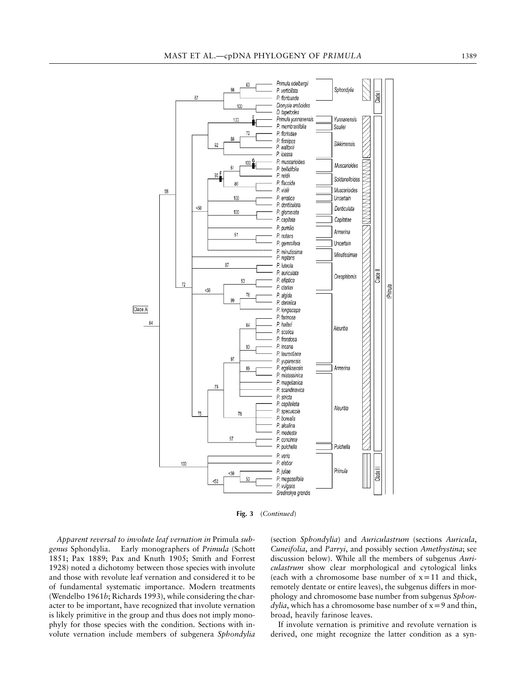

**Fig. 3** (*Continued*)

*Apparent reversal to involute leaf vernation in* Primula *subgenus* Sphondylia. Early monographers of *Primula* (Schott 1851; Pax 1889; Pax and Knuth 1905; Smith and Forrest 1928) noted a dichotomy between those species with involute and those with revolute leaf vernation and considered it to be of fundamental systematic importance. Modern treatments (Wendelbo 1961*b*; Richards 1993), while considering the character to be important, have recognized that involute vernation is likely primitive in the group and thus does not imply monophyly for those species with the condition. Sections with involute vernation include members of subgenera *Sphondylia*

(section *Sphondylia*) and *Auriculastrum* (sections *Auricula*, *Cuneifolia*, and *Parryi*, and possibly section *Amethystina*; see discussion below). While all the members of subgenus *Auriculastrum* show clear morphological and cytological links (each with a chromosome base number of  $x=11$  and thick, remotely dentate or entire leaves), the subgenus differs in morphology and chromosome base number from subgenus *Sphondylia*, which has a chromosome base number of  $x = 9$  and thin, broad, heavily farinose leaves.

If involute vernation is primitive and revolute vernation is derived, one might recognize the latter condition as a syn-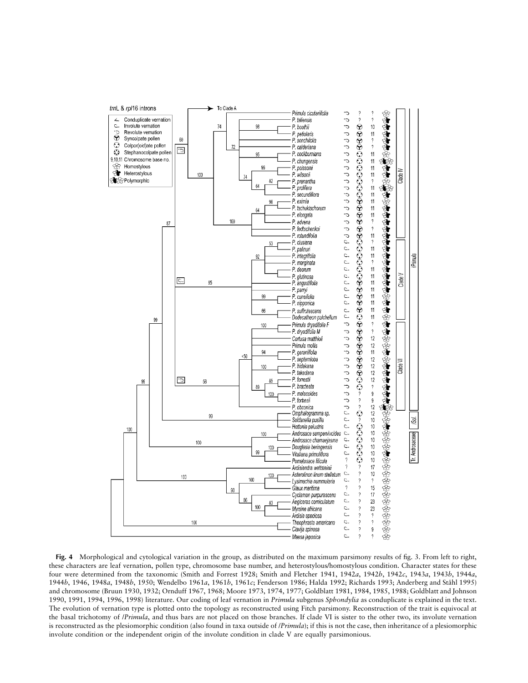

**Fig. 4** Morphological and cytological variation in the group, as distributed on the maximum parsimony results of fig. 3. From left to right, these characters are leaf vernation, pollen type, chromosome base number, and heterostylous/homostylous condition. Character states for these four were determined from the taxonomic (Smith and Forrest 1928; Smith and Fletcher 1941, 1942*a*, 1942*b*, 1942*c*, 1943*a*, 1943*b*, 1944*a*, 1944b, 1946, 1948*a*, 1948*b*, 1950; Wendelbo 1961*a*, 1961*b*, 1961*c*; Fenderson 1986; Halda 1992; Richards 1993; Anderberg and Ståhl 1995) and chromosome (Bruun 1930, 1932; Ornduff 1967, 1968; Moore 1973, 1974, 1977; Goldblatt 1981, 1984, 1985, 1988; Goldblatt and Johnson 1990, 1991, 1994, 1996, 1998) literature. Our coding of leaf vernation in *Primula* subgenus *Sphondylia* as conduplicate is explained in the text. The evolution of vernation type is plotted onto the topology as reconstructed using Fitch parsimony. Reconstruction of the trait is equivocal at the basal trichotomy of /*Primula*, and thus bars are not placed on those branches. If clade VI is sister to the other two, its involute vernation is reconstructed as the plesiomorphic condition (also found in taxa outside of /*Primula*); if this is not the case, then inheritance of a plesiomorphic involute condition or the independent origin of the involute condition in clade V are equally parsimonious.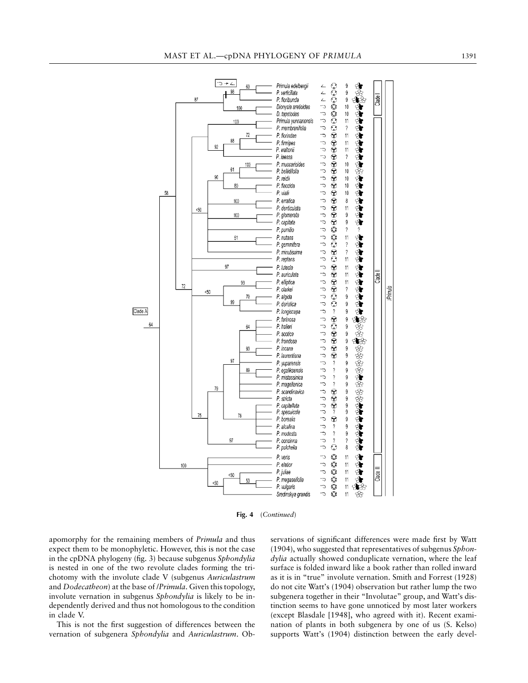

**Fig. 4** (*Continued*)

apomorphy for the remaining members of *Primula* and thus expect them to be monophyletic. However, this is not the case in the cpDNA phylogeny (fig. 3) because subgenus *Sphondylia* is nested in one of the two revolute clades forming the trichotomy with the involute clade V (subgenus *Auriculastrum* and *Dodecatheon*) at the base of /*Primula*. Given this topology, involute vernation in subgenus *Sphondylia* is likely to be independently derived and thus not homologous to the condition in clade V.

This is not the first suggestion of differences between the vernation of subgenera *Sphondylia* and *Auriculastrum*. Observations of significant differences were made first by Watt (1904), who suggested that representatives of subgenus *Sphondylia* actually showed conduplicate vernation, where the leaf surface is folded inward like a book rather than rolled inward as it is in "true" involute vernation. Smith and Forrest (1928) do not cite Watt's (1904) observation but rather lump the two subgenera together in their "Involutae" group, and Watt's distinction seems to have gone unnoticed by most later workers (except Blasdale [1948], who agreed with it). Recent examination of plants in both subgenera by one of us (S. Kelso) supports Watt's (1904) distinction between the early devel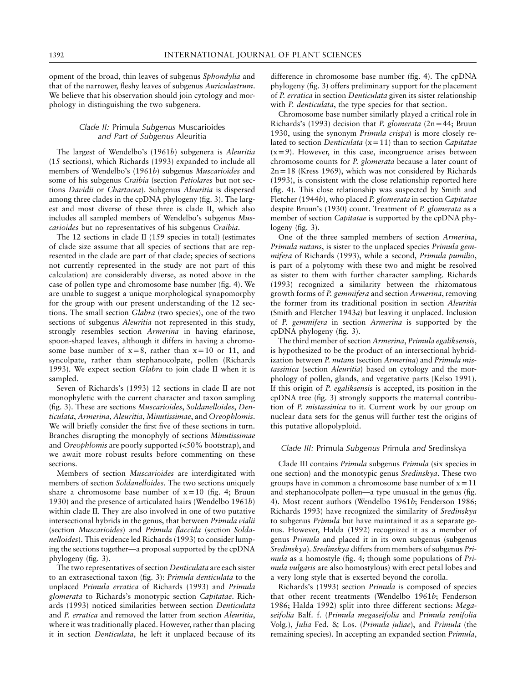opment of the broad, thin leaves of subgenus *Sphondylia* and that of the narrower, fleshy leaves of subgenus *Auriculastrum*. We believe that his observation should join cytology and morphology in distinguishing the two subgenera.

# *Clade II:* Primula *Subgenus* Muscarioides *and Part of Subgenus* Aleuritia

The largest of Wendelbo's (1961*b*) subgenera is *Aleuritia* (15 sections), which Richards (1993) expanded to include all members of Wendelbo's (1961*b*) subgenus *Muscarioides* and some of his subgenus *Craibia* (section *Petiolares* but not sections *Davidii* or *Chartacea*). Subgenus *Aleuritia* is dispersed among three clades in the cpDNA phylogeny (fig. 3). The largest and most diverse of these three is clade II, which also includes all sampled members of Wendelbo's subgenus *Muscarioides* but no representatives of his subgenus *Craibia*.

The 12 sections in clade II (159 species in total) (estimates of clade size assume that all species of sections that are represented in the clade are part of that clade; species of sections not currently represented in the study are not part of this calculation) are considerably diverse, as noted above in the case of pollen type and chromosome base number (fig. 4). We are unable to suggest a unique morphological synapomorphy for the group with our present understanding of the 12 sections. The small section *Glabra* (two species), one of the two sections of subgenus *Aleuritia* not represented in this study, strongly resembles section *Armerina* in having efarinose, spoon-shaped leaves, although it differs in having a chromosome base number of  $x=8$ , rather than  $x=10$  or 11, and syncolpate, rather than stephanocolpate, pollen (Richards 1993). We expect section *Glabra* to join clade II when it is sampled.

Seven of Richards's (1993) 12 sections in clade II are not monophyletic with the current character and taxon sampling (fig. 3). These are sections *Muscarioides*, *Soldanelloides*, *Denticulata*, *Armerina*, *Aleuritia*, *Minutissimae*, and *Oreophlomis*. We will briefly consider the first five of these sections in turn. Branches disrupting the monophyly of sections *Minutissimae* and *Oreophlomis* are poorly supported (<50% bootstrap), and we await more robust results before commenting on these sections.

Members of section *Muscarioides* are interdigitated with members of section *Soldanelloides*. The two sections uniquely share a chromosome base number of  $x=10$  (fig. 4; Bruun 1930) and the presence of articulated hairs (Wendelbo 1961*b*) within clade II. They are also involved in one of two putative intersectional hybrids in the genus, that between *Primula vialii* (section *Muscarioides*) and *Primula flaccida* (section *Soldanelloides*). This evidence led Richards (1993) to consider lumping the sections together—a proposal supported by the cpDNA phylogeny (fig. 3).

The two representatives of section *Denticulata* are each sister to an extrasectional taxon (fig. 3): *Primula denticulata* to the unplaced *Primula erratica* of Richards (1993) and *Primula glomerata* to Richards's monotypic section *Capitatae*. Richards (1993) noticed similarities between section *Denticulata* and *P. erratica* and removed the latter from section *Aleuritia*, where it was traditionally placed. However, rather than placing it in section *Denticulata*, he left it unplaced because of its difference in chromosome base number (fig. 4). The cpDNA phylogeny (fig. 3) offers preliminary support for the placement of *P. erratica* in section *Denticulata* given its sister relationship with *P. denticulata*, the type species for that section.

Chromosome base number similarly played a critical role in Richards's (1993) decision that *P. glomerata* (2n=44; Bruun 1930, using the synonym *Primula crispa*) is more closely related to section *Denticulata* (x=11) than to section *Capitatae*  $(x=9)$ . However, in this case, incongruence arises between chromosome counts for *P. glomerata* because a later count of  $2n = 18$  (Kress 1969), which was not considered by Richards (1993), is consistent with the close relationship reported here (fig. 4). This close relationship was suspected by Smith and Fletcher (1944*b*), who placed *P. glomerata* in section *Capitatae* despite Bruun's (1930) count. Treatment of *P. glomerata* as a member of section *Capitatae* is supported by the cpDNA phylogeny (fig. 3).

One of the three sampled members of section *Armerina*, *Primula nutans*, is sister to the unplaced species *Primula gemmifera* of Richards (1993), while a second, *Primula pumilio*, is part of a polytomy with these two and might be resolved as sister to them with further character sampling. Richards (1993) recognized a similarity between the rhizomatous growth forms of *P. gemmifera* and section *Armerina*, removing the former from its traditional position in section *Aleuritia* (Smith and Fletcher 1943*a*) but leaving it unplaced. Inclusion of *P. gemmifera* in section *Armerina* is supported by the cpDNA phylogeny (fig. 3).

The third member of section *Armerina*, *Primula egaliksensis*, is hypothesized to be the product of an intersectional hybridization between *P. nutans* (section *Armerina*) and *Primula mistassinica* (section *Aleuritia*) based on cytology and the morphology of pollen, glands, and vegetative parts (Kelso 1991). If this origin of *P. egaliksensis* is accepted, its position in the cpDNA tree (fig. 3) strongly supports the maternal contribution of *P. mistassinica* to it. Current work by our group on nuclear data sets for the genus will further test the origins of this putative allopolyploid.

## *Clade III:* Primula *Subgenus* Primula *and* Sredinskya

Clade III contains *Primula* subgenus *Primula* (six species in one section) and the monotypic genus *Sredinskya*. These two groups have in common a chromosome base number of  $x=11$ and stephanocolpate pollen—a type unusual in the genus (fig. 4). Most recent authors (Wendelbo 1961*b*; Fenderson 1986; Richards 1993) have recognized the similarity of *Sredinskya* to subgenus *Primula* but have maintained it as a separate genus. However, Halda (1992) recognized it as a member of genus *Primula* and placed it in its own subgenus (subgenus *Sredinskya*). *Sredinskya* differs from members of subgenus *Primula* as a homostyle (fig. 4; though some populations of *Primula vulgaris* are also homostylous) with erect petal lobes and a very long style that is exserted beyond the corolla.

Richards's (1993) section *Primula* is composed of species that other recent treatments (Wendelbo 1961*b*; Fenderson 1986; Halda 1992) split into three different sections: *Megaseifolia* Balf. f. (*Primula megaseifolia* and *Primula renifolia* Volg.), *Julia* Fed. & Los. (*Primula juliae*), and *Primula* (the remaining species). In accepting an expanded section *Primula*,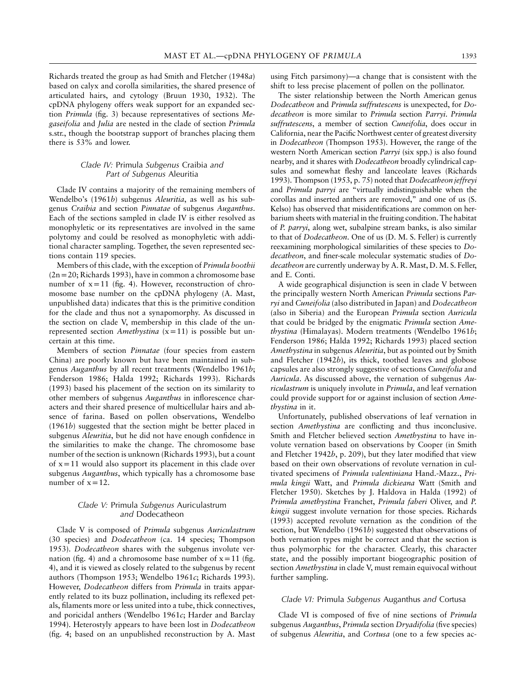Richards treated the group as had Smith and Fletcher (1948*a*) based on calyx and corolla similarities, the shared presence of articulated hairs, and cytology (Bruun 1930, 1932). The cpDNA phylogeny offers weak support for an expanded section *Primula* (fig. 3) because representatives of sections *Megaseifolia* and *Julia* are nested in the clade of section *Primula* s.str., though the bootstrap support of branches placing them there is 53% and lower.

# *Clade IV:* Primula *Subgenus* Craibia *and Part of Subgenus* Aleuritia

Clade IV contains a majority of the remaining members of Wendelbo's (1961*b*) subgenus *Aleuritia*, as well as his subgenus *Craibia* and section *Pinnatae* of subgenus *Auganthus*. Each of the sections sampled in clade IV is either resolved as monophyletic or its representatives are involved in the same polytomy and could be resolved as monophyletic with additional character sampling. Together, the seven represented sections contain 119 species.

Members of this clade, with the exception of *Primula boothii*  $(2n=20;$  Richards 1993), have in common a chromosome base number of  $x=11$  (fig. 4). However, reconstruction of chromosome base number on the cpDNA phylogeny (A. Mast, unpublished data) indicates that this is the primitive condition for the clade and thus not a synapomorphy. As discussed in the section on clade V, membership in this clade of the unrepresented section *Amethystina*  $(x=11)$  is possible but uncertain at this time.

Members of section *Pinnatae* (four species from eastern China) are poorly known but have been maintained in subgenus *Auganthus* by all recent treatments (Wendelbo 1961*b*; Fenderson 1986; Halda 1992; Richards 1993). Richards (1993) based his placement of the section on its similarity to other members of subgenus *Auganthus* in inflorescence characters and their shared presence of multicellular hairs and absence of farina. Based on pollen observations, Wendelbo (1961*b*) suggested that the section might be better placed in subgenus *Aleuritia*, but he did not have enough confidence in the similarities to make the change. The chromosome base number of the section is unknown (Richards 1993), but a count of  $x=11$  would also support its placement in this clade over subgenus *Auganthus*, which typically has a chromosome base number of  $x=12$ .

## *Clade V:* Primula *Subgenus* Auriculastrum *and* Dodecatheon

Clade V is composed of *Primula* subgenus *Auriculastrum* (30 species) and *Dodecatheon* (ca. 14 species; Thompson 1953). *Dodecatheon* shares with the subgenus involute vernation (fig. 4) and a chromosome base number of  $x=11$  (fig. 4), and it is viewed as closely related to the subgenus by recent authors (Thompson 1953; Wendelbo 1961*c*; Richards 1993). However, *Dodecatheon* differs from *Primula* in traits apparently related to its buzz pollination, including its reflexed petals, filaments more or less united into a tube, thick connectives, and poricidal anthers (Wendelbo 1961*c*; Harder and Barclay 1994). Heterostyly appears to have been lost in *Dodecatheon* (fig. 4; based on an unpublished reconstruction by A. Mast using Fitch parsimony)—a change that is consistent with the shift to less precise placement of pollen on the pollinator.

The sister relationship between the North American genus *Dodecatheon* and *Primula suffrutescens* is unexpected, for *Dodecatheon* is more similar to *Primula* section *Parryi*. *Primula suffrutescens*, a member of section *Cuneifolia*, does occur in California, near the Pacific Northwest center of greatest diversity in *Dodecatheon* (Thompson 1953). However, the range of the western North American section *Parryi* (six spp.) is also found nearby, and it shares with *Dodecatheon* broadly cylindrical capsules and somewhat fleshy and lanceolate leaves (Richards 1993). Thompson (1953, p. 75) noted that *Dodecatheon jeffreyi* and *Primula parryi* are "virtually indistinguishable when the corollas and inserted anthers are removed," and one of us (S. Kelso) has observed that misidentifications are common on herbarium sheets with material in the fruiting condition. The habitat of *P. parryi*, along wet, subalpine stream banks, is also similar to that of *Dodecatheon*. One of us (D. M. S. Feller) is currently reexamining morphological similarities of these species to *Dodecatheon*, and finer-scale molecular systematic studies of *Dodecatheon* are currently underway by A. R. Mast, D. M. S. Feller, and E. Conti.

A wide geographical disjunction is seen in clade V between the principally western North American *Primula* sections *Parryi* and *Cuneifolia* (also distributed in Japan) and *Dodecatheon* (also in Siberia) and the European *Primula* section *Auricula* that could be bridged by the enigmatic *Primula* section *Amethystina* (Himalayas). Modern treatments (Wendelbo 1961*b*; Fenderson 1986; Halda 1992; Richards 1993) placed section *Amethystina* in subgenus *Aleuritia*, but as pointed out by Smith and Fletcher (1942*b*), its thick, toothed leaves and globose capsules are also strongly suggestive of sections *Cuneifolia* and *Auricula*. As discussed above, the vernation of subgenus *Auriculastrum* is uniquely involute in *Primula*, and leaf vernation could provide support for or against inclusion of section *Amethystina* in it.

Unfortunately, published observations of leaf vernation in section *Amethystina* are conflicting and thus inconclusive. Smith and Fletcher believed section *Amethystina* to have involute vernation based on observations by Cooper (in Smith and Fletcher 1942*b*, p. 209), but they later modified that view based on their own observations of revolute vernation in cultivated specimens of *Primula valentiniana* Hand.-Mazz., *Primula kingii* Watt, and *Primula dickieana* Watt (Smith and Fletcher 1950). Sketches by J. Haldova in Halda (1992) of *Primula amethystina* Franchet, *Primula faberi* Oliver, and *P. kingii* suggest involute vernation for those species. Richards (1993) accepted revolute vernation as the condition of the section, but Wendelbo (1961*b*) suggested that observations of both vernation types might be correct and that the section is thus polymorphic for the character. Clearly, this character state, and the possibly important biogeographic position of section *Amethystina* in clade V, must remain equivocal without further sampling.

## *Clade VI:* Primula *Subgenus* Auganthus *and* Cortusa

Clade VI is composed of five of nine sections of *Primula* subgenus *Auganthus*, *Primula* section *Dryadifolia* (five species) of subgenus *Aleuritia*, and *Cortusa* (one to a few species ac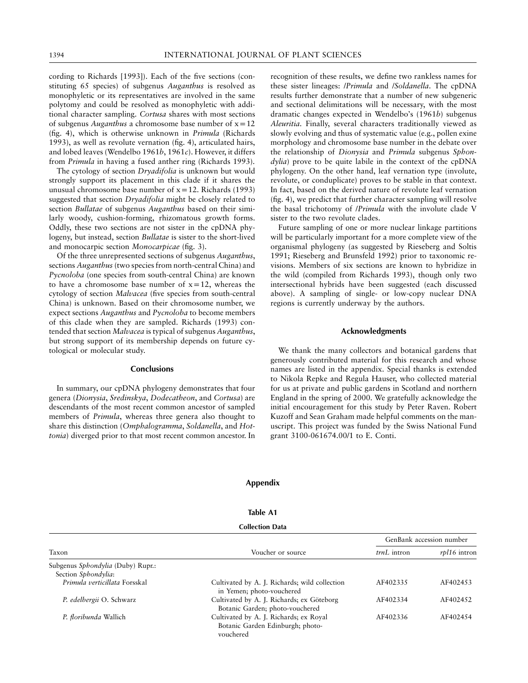cording to Richards [1993]). Each of the five sections (constituting 65 species) of subgenus *Auganthus* is resolved as monophyletic or its representatives are involved in the same polytomy and could be resolved as monophyletic with additional character sampling. *Cortusa* shares with most sections of subgenus *Auganthus* a chromosome base number of  $x=12$ (fig. 4), which is otherwise unknown in *Primula* (Richards 1993), as well as revolute vernation (fig. 4), articulated hairs, and lobed leaves (Wendelbo 1961*b*, 1961*c*). However, it differs from *Primula* in having a fused anther ring (Richards 1993).

The cytology of section *Dryadifolia* is unknown but would strongly support its placement in this clade if it shares the unusual chromosome base number of  $x=12$ . Richards (1993) suggested that section *Dryadifolia* might be closely related to section *Bullatae* of subgenus *Auganthus* based on their similarly woody, cushion-forming, rhizomatous growth forms. Oddly, these two sections are not sister in the cpDNA phylogeny, but instead, section *Bullatae* is sister to the short-lived and monocarpic section *Monocarpicae* (fig. 3).

Of the three unrepresented sections of subgenus *Auganthus*, sections *Auganthus* (two species from north-central China) and *Pycnoloba* (one species from south-central China) are known to have a chromosome base number of  $x=12$ , whereas the cytology of section *Malvacea* (five species from south-central China) is unknown. Based on their chromosome number, we expect sections *Auganthus* and *Pycnoloba* to become members of this clade when they are sampled. Richards (1993) contended that section *Malvacea* is typical of subgenus *Auganthus*, but strong support of its membership depends on future cytological or molecular study.

# **Conclusions**

In summary, our cpDNA phylogeny demonstrates that four genera (*Dionysia*, *Sredinskya*, *Dodecatheon*, and *Cortusa*) are descendants of the most recent common ancestor of sampled members of *Primula*, whereas three genera also thought to share this distinction (*Omphalogramma*, *Soldanella*, and *Hottonia*) diverged prior to that most recent common ancestor. In

recognition of these results, we define two rankless names for these sister lineages: /*Primula* and /*Soldanella*. The cpDNA results further demonstrate that a number of new subgeneric and sectional delimitations will be necessary, with the most dramatic changes expected in Wendelbo's (1961*b*) subgenus *Aleuritia*. Finally, several characters traditionally viewed as slowly evolving and thus of systematic value (e.g., pollen exine morphology and chromosome base number in the debate over the relationship of *Dionysia* and *Primula* subgenus *Sphondylia*) prove to be quite labile in the context of the cpDNA phylogeny. On the other hand, leaf vernation type (involute, revolute, or conduplicate) proves to be stable in that context. In fact, based on the derived nature of revolute leaf vernation (fig. 4), we predict that further character sampling will resolve the basal trichotomy of /*Primula* with the involute clade V sister to the two revolute clades.

Future sampling of one or more nuclear linkage partitions will be particularly important for a more complete view of the organismal phylogeny (as suggested by Rieseberg and Soltis 1991; Rieseberg and Brunsfeld 1992) prior to taxonomic revisions. Members of six sections are known to hybridize in the wild (compiled from Richards 1993), though only two intersectional hybrids have been suggested (each discussed above). A sampling of single- or low-copy nuclear DNA regions is currently underway by the authors.

## **Acknowledgments**

We thank the many collectors and botanical gardens that generously contributed material for this research and whose names are listed in the appendix. Special thanks is extended to Nikola Repke and Regula Hauser, who collected material for us at private and public gardens in Scotland and northern England in the spring of 2000. We gratefully acknowledge the initial encouragement for this study by Peter Raven. Robert Kuzoff and Sean Graham made helpful comments on the manuscript. This project was funded by the Swiss National Fund grant 3100-061674.00/1 to E. Conti.

## **Appendix**

#### **Table A1**

## **Collection Data**

|                                   |                                                                                         | GenBank accession number |                |
|-----------------------------------|-----------------------------------------------------------------------------------------|--------------------------|----------------|
| Taxon                             | Voucher or source                                                                       | trnL intron              | $rpl16$ intron |
| Subgenus Sphondylia (Duby) Rupr.: |                                                                                         |                          |                |
| Section Sphondylia:               |                                                                                         |                          |                |
| Primula verticillata Forsskal     | Cultivated by A. J. Richards; wild collection<br>in Yemen; photo-vouchered              | AF402335                 | AF402453       |
| P. edelbergii O. Schwarz          | Cultivated by A. J. Richards; ex Göteborg<br>Botanic Garden; photo-vouchered            | AF402334                 | AF402452       |
| P. floribunda Wallich             | Cultivated by A. J. Richards; ex Royal<br>Botanic Garden Edinburgh; photo-<br>vouchered | AF402336                 | AF402454       |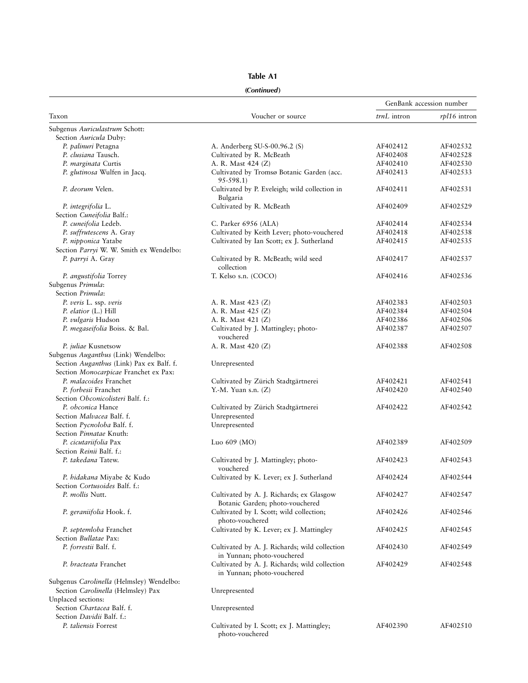| Table A1 |  |
|----------|--|
|          |  |

**(***Continued***)**

|                                                                                   |                                                                             |             | GenBank accession number |
|-----------------------------------------------------------------------------------|-----------------------------------------------------------------------------|-------------|--------------------------|
| Taxon                                                                             | Voucher or source                                                           | trnL intron | $rpl16$ intron           |
| Subgenus Auriculastrum Schott:                                                    |                                                                             |             |                          |
| Section Auricula Duby:                                                            |                                                                             |             |                          |
| P. palinuri Petagna                                                               | A. Anderberg SU-S-00.96.2 (S)                                               | AF402412    | AF402532                 |
| P. clusiana Tausch.                                                               | Cultivated by R. McBeath                                                    | AF402408    | AF402528                 |
| P. marginata Curtis                                                               | A. R. Mast 424 (Z)                                                          | AF402410    | AF402530                 |
| P. glutinosa Wulfen in Jacq.                                                      | Cultivated by Tromsø Botanic Garden (acc.<br>$95 - 598.1$                   | AF402413    | AF402533                 |
| P. deorum Velen.                                                                  | Cultivated by P. Eveleigh; wild collection in<br>Bulgaria                   | AF402411    | AF402531                 |
| P. integrifolia L.                                                                | Cultivated by R. McBeath                                                    | AF402409    | AF402529                 |
| Section Cuneifolia Balf.:                                                         |                                                                             |             |                          |
| P. cuneifolia Ledeb.                                                              | C. Parker 6956 (ALA)                                                        | AF402414    | AF402534                 |
| P. suffrutescens A. Gray                                                          | Cultivated by Keith Lever; photo-vouchered                                  | AF402418    | AF402538                 |
| P. nipponica Yatabe                                                               | Cultivated by Ian Scott; ex J. Sutherland                                   | AF402415    | AF402535                 |
| Section Parryi W. W. Smith ex Wendelbo:                                           |                                                                             |             |                          |
|                                                                                   |                                                                             |             |                          |
| P. parryi A. Gray                                                                 | Cultivated by R. McBeath; wild seed<br>collection                           | AF402417    | AF402537                 |
| P. angustifolia Torrey                                                            | T. Kelso s.n. (COCO)                                                        | AF402416    | AF402536                 |
| Subgenus Primula:                                                                 |                                                                             |             |                          |
| Section Primula:                                                                  |                                                                             |             |                          |
| P. veris L. ssp. veris                                                            | A. R. Mast 423 (Z)                                                          | AF402383    | AF402503                 |
| P. elatior (L.) Hill                                                              | A. R. Mast 425 (Z)                                                          | AF402384    | AF402504                 |
| P. vulgaris Hudson                                                                | A. R. Mast 421 (Z)                                                          | AF402386    | AF402506                 |
| P. megaseifolia Boiss. & Bal.                                                     | Cultivated by J. Mattingley; photo-<br>vouchered                            | AF402387    | AF402507                 |
| P. juliae Kusnetsow                                                               | A. R. Mast 420 (Z)                                                          | AF402388    | AF402508                 |
| Subgenus Auganthus (Link) Wendelbo:                                               |                                                                             |             |                          |
| Section Auganthus (Link) Pax ex Balf. f.<br>Section Monocarpicae Franchet ex Pax: | Unrepresented                                                               |             |                          |
| P. malacoides Franchet                                                            |                                                                             | AF402421    | AF402541                 |
|                                                                                   | Cultivated by Zürich Stadtgärtnerei                                         |             |                          |
| P. forbesii Franchet                                                              | Y.-M. Yuan s.n. $(Z)$                                                       | AF402420    | AF402540                 |
| Section Obconicolisteri Balf. f.:                                                 |                                                                             |             |                          |
| P. obconica Hance                                                                 | Cultivated by Zürich Stadtgärtnerei                                         | AF402422    | AF402542                 |
| Section Malvacea Balf. f.                                                         | Unrepresented                                                               |             |                          |
| Section Pycnoloba Balf. f.                                                        | Unrepresented                                                               |             |                          |
| Section Pinnatae Knuth:                                                           |                                                                             |             |                          |
| P. cicutariifolia Pax                                                             | Luo $609$ (MO)                                                              | AF402389    | AF402509                 |
| Section Reinii Balf. f.:                                                          |                                                                             |             |                          |
| P. takedana Tatew.                                                                | Cultivated by J. Mattingley; photo-<br>vouchered                            | AF402423    | AF402543                 |
| P. hidakana Miyabe & Kudo<br>Section Cortusoides Balf. f.:                        | Cultivated by K. Lever; ex J. Sutherland                                    | AF402424    | AF402544                 |
| P. mollis Nutt.                                                                   | Cultivated by A. J. Richards; ex Glasgow<br>Botanic Garden; photo-vouchered | AF402427    | AF402547                 |
| P. geraniifolia Hook. f.                                                          | Cultivated by I. Scott; wild collection;<br>photo-vouchered                 | AF402426    | AF402546                 |
| P. septemloba Franchet                                                            | Cultivated by K. Lever; ex J. Mattingley                                    | AF402425    | AF402545                 |
| Section Bullatae Pax:                                                             |                                                                             |             |                          |
| P. forrestii Balf. f.                                                             | Cultivated by A. J. Richards; wild collection<br>in Yunnan; photo-vouchered | AF402430    | AF402549                 |
| P. bracteata Franchet                                                             | Cultivated by A. J. Richards; wild collection<br>in Yunnan; photo-vouchered | AF402429    | AF402548                 |
| Subgenus Carolinella (Helmsley) Wendelbo:                                         |                                                                             |             |                          |
| Section Carolinella (Helmsley) Pax                                                | Unrepresented                                                               |             |                          |
| Unplaced sections:                                                                |                                                                             |             |                          |
|                                                                                   |                                                                             |             |                          |
| Section Chartacea Balf. f.<br>Section Davidii Balf. f.:                           | Unrepresented                                                               |             |                          |
| P. taliensis Forrest                                                              | Cultivated by I. Scott; ex J. Mattingley;<br>photo-vouchered                | AF402390    | AF402510                 |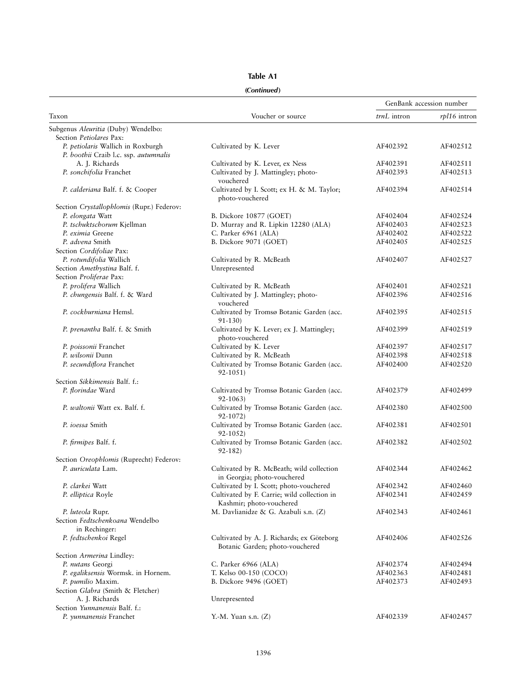| <b>Table A1</b> |  |  |  |
|-----------------|--|--|--|
|-----------------|--|--|--|

**(***Continued***)**

|                                                     |                                                                              |             | GenBank accession number |
|-----------------------------------------------------|------------------------------------------------------------------------------|-------------|--------------------------|
| Taxon                                               | Voucher or source                                                            | trnL intron | <i>rpl16</i> intron      |
| Subgenus Aleuritia (Duby) Wendelbo:                 |                                                                              |             |                          |
| Section Petiolares Pax:                             |                                                                              |             |                          |
| P. petiolaris Wallich in Roxburgh                   | Cultivated by K. Lever                                                       | AF402392    | AF402512                 |
| P. boothii Craib l.c. ssp. autumnalis               |                                                                              |             |                          |
| A. J. Richards                                      | Cultivated by K. Lever, ex Ness                                              | AF402391    | AF402511                 |
| P. sonchifolia Franchet                             | Cultivated by J. Mattingley; photo-<br>vouchered                             | AF402393    | AF402513                 |
| P. calderiana Balf. f. & Cooper                     | Cultivated by I. Scott; ex H. & M. Taylor;<br>photo-vouchered                | AF402394    | AF402514                 |
| Section Crystallophlomis (Rupr.) Federov:           |                                                                              |             |                          |
| P. elongata Watt                                    | B. Dickore 10877 (GOET)                                                      | AF402404    | AF402524                 |
| P. tschuktschorum Kjellman                          | D. Murray and R. Lipkin 12280 (ALA)                                          | AF402403    | AF402523                 |
| P. eximia Greene                                    | C. Parker 6961 (ALA)                                                         | AF402402    | AF402522                 |
| P. advena Smith                                     | B. Dickore 9071 (GOET)                                                       | AF402405    | AF402525                 |
| Section Cordifoliae Pax:                            |                                                                              |             |                          |
| P. rotundifolia Wallich                             | Cultivated by R. McBeath                                                     | AF402407    | AF402527                 |
| Section Amethystina Balf. f.                        | Unrepresented                                                                |             |                          |
|                                                     |                                                                              |             |                          |
| Section Proliferae Pax:                             |                                                                              |             |                          |
| P. prolifera Wallich                                | Cultivated by R. McBeath                                                     | AF402401    | AF402521                 |
| P. chungensis Balf. f. & Ward                       | Cultivated by J. Mattingley; photo-<br>vouchered                             | AF402396    | AF402516                 |
| P. cockburniana Hemsl.                              | Cultivated by Tromsø Botanic Garden (acc.<br>$91-130$                        | AF402395    | AF402515                 |
| P. prenantha Balf. f. & Smith                       | Cultivated by K. Lever; ex J. Mattingley;<br>photo-vouchered                 | AF402399    | AF402519                 |
| P. poissonii Franchet                               | Cultivated by K. Lever                                                       | AF402397    | AF402517                 |
| P. wilsonii Dunn                                    | Cultivated by R. McBeath                                                     | AF402398    | AF402518                 |
| P. secundiflora Franchet                            | Cultivated by Tromsø Botanic Garden (acc.<br>$92 - 1051$                     | AF402400    | AF402520                 |
| Section Sikkimensis Balf. f.:                       |                                                                              |             |                          |
| P. florindae Ward                                   | Cultivated by Tromsø Botanic Garden (acc.<br>$92 - 1063$                     | AF402379    | AF402499                 |
| P. waltonii Watt ex. Balf. f.                       | Cultivated by Tromsø Botanic Garden (acc.<br>92-1072)                        | AF402380    | AF402500                 |
| P. ioessa Smith                                     | Cultivated by Tromsø Botanic Garden (acc.<br>$92 - 1052$                     | AF402381    | AF402501                 |
| P. firmipes Balf. f.                                | Cultivated by Tromsø Botanic Garden (acc.<br>$92 - 182$                      | AF402382    | AF402502                 |
| Section Oreophlomis (Ruprecht) Federov:             |                                                                              |             |                          |
| P. auriculata Lam.                                  | Cultivated by R. McBeath; wild collection<br>in Georgia; photo-vouchered     | AF402344    | AF402462                 |
| P. clarkei Watt                                     | Cultivated by I. Scott; photo-vouchered                                      | AF402342    | AF402460                 |
|                                                     |                                                                              |             |                          |
| P. elliptica Royle                                  | Cultivated by F. Carrie; wild collection in<br>Kashmir; photo-vouchered      | AF402341    | AF402459                 |
| P. luteola Rupr.                                    | M. Davlianidze & G. Azabuli s.n. (Z)                                         | AF402343    | AF402461                 |
| Section Fedtschenkoana Wendelbo<br>in Rechinger:    |                                                                              |             |                          |
| P. fedtschenkoi Regel                               | Cultivated by A. J. Richards; ex Göteborg<br>Botanic Garden; photo-vouchered | AF402406    | AF402526                 |
| Section Armerina Lindley:                           |                                                                              |             |                          |
| P. nutans Georgi                                    | C. Parker 6966 (ALA)                                                         | AF402374    | AF402494                 |
| P. egaliksensis Wormsk. in Hornem.                  | T. Kelso 00-150 (COCO)                                                       | AF402363    | AF402481                 |
| P. pumilio Maxim.                                   | B. Dickore 9496 (GOET)                                                       | AF402373    | AF402493                 |
| Section Glabra (Smith & Fletcher)<br>A. J. Richards | Unrepresented                                                                |             |                          |
| Section Yunnanensis Balf. f.:                       |                                                                              |             |                          |
| P. yunnanensis Franchet                             | Y.-M. Yuan s.n. $(Z)$                                                        | AF402339    | AF402457                 |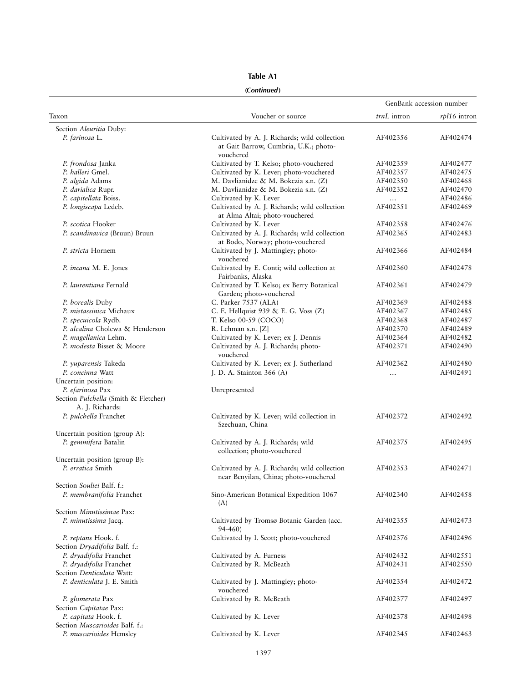| Table A1 |  |
|----------|--|
|----------|--|

**(***Continued***)**

|                                                         |                                                                                                     |             | GenBank accession number |  |
|---------------------------------------------------------|-----------------------------------------------------------------------------------------------------|-------------|--------------------------|--|
| Taxon                                                   | Voucher or source                                                                                   | trnL intron | $rpl16$ intron           |  |
| Section Aleuritia Duby:                                 |                                                                                                     |             |                          |  |
| P. farinosa L.                                          | Cultivated by A. J. Richards; wild collection<br>at Gait Barrow, Cumbria, U.K.; photo-<br>vouchered | AF402356    | AF402474                 |  |
| P. frondosa Janka                                       | Cultivated by T. Kelso; photo-vouchered                                                             | AF402359    | AF402477                 |  |
| P. halleri Gmel.                                        | Cultivated by K. Lever; photo-vouchered                                                             | AF402357    | AF402475                 |  |
| P. algida Adams                                         | M. Davlianidze & M. Bokezia s.n. (Z)                                                                | AF402350    | AF402468                 |  |
| P. darialica Rupr.                                      | M. Davlianidze & M. Bokezia s.n. (Z)                                                                | AF402352    | AF402470                 |  |
| P. capitellata Boiss.                                   | Cultivated by K. Lever                                                                              | $\cdots$    | AF402486                 |  |
| P. longiscapa Ledeb.                                    | Cultivated by A. J. Richards; wild collection<br>at Alma Altai; photo-vouchered                     | AF402351    | AF402469                 |  |
| P. scotica Hooker                                       | Cultivated by K. Lever                                                                              | AF402358    | AF402476                 |  |
| P. scandinavica (Bruun) Bruun                           | Cultivated by A. J. Richards; wild collection<br>at Bodo, Norway; photo-vouchered                   | AF402365    | AF402483                 |  |
| P. stricta Hornem                                       | Cultivated by J. Mattingley; photo-<br>vouchered                                                    | AF402366    | AF402484                 |  |
| P. incana M. E. Jones                                   | Cultivated by E. Conti; wild collection at<br>Fairbanks, Alaska                                     | AF402360    | AF402478                 |  |
| P. <i>laurentiana</i> Fernald                           | Cultivated by T. Kelso; ex Berry Botanical<br>Garden; photo-vouchered                               | AF402361    | AF402479                 |  |
| P. borealis Duby                                        | C. Parker 7537 (ALA)                                                                                | AF402369    | AF402488                 |  |
| P. mistassinica Michaux                                 | C. E. Hellquist 939 & E. G. Voss (Z)                                                                | AF402367    | AF402485                 |  |
| P. specuicola Rydb.                                     | T. Kelso 00-59 (COCO)                                                                               | AF402368    | AF402487                 |  |
| P. alcalina Cholewa & Henderson                         | R. Lehman s.n. [Z]                                                                                  | AF402370    | AF402489                 |  |
| P. magellanica Lehm.                                    | Cultivated by K. Lever; ex J. Dennis                                                                | AF402364    | AF402482                 |  |
| P. modesta Bisset & Moore                               | Cultivated by A. J. Richards; photo-<br>vouchered                                                   | AF402371    | AF402490                 |  |
| P. yuparensis Takeda                                    | Cultivated by K. Lever; ex J. Sutherland                                                            | AF402362    | AF402480                 |  |
| P. concinna Watt                                        | J. D. A. Stainton 366 (A)                                                                           | $\cdots$    | AF402491                 |  |
| Uncertain position:                                     |                                                                                                     |             |                          |  |
| P. efarinosa Pax                                        | Unrepresented                                                                                       |             |                          |  |
| Section Pulchella (Smith & Fletcher)<br>A. J. Richards: |                                                                                                     |             |                          |  |
| P. pulchella Franchet                                   | Cultivated by K. Lever; wild collection in<br>Szechuan, China                                       | AF402372    | AF402492                 |  |
| Uncertain position (group A):                           |                                                                                                     |             |                          |  |
| P. gemmifera Batalin                                    | Cultivated by A. J. Richards; wild<br>collection; photo-vouchered                                   | AF402375    | AF402495                 |  |
| Uncertain position (group B):                           |                                                                                                     |             |                          |  |
| P. erratica Smith                                       | Cultivated by A. J. Richards; wild collection<br>near Benyilan, China; photo-vouchered              | AF402353    | AF402471                 |  |
| Section Souliei Balf. f.:                               |                                                                                                     |             |                          |  |
| P. membranifolia Franchet                               | Sino-American Botanical Expedition 1067<br>(A)                                                      | AF402340    | AF402458                 |  |
| Section Minutissimae Pax:                               |                                                                                                     |             |                          |  |
| P. minutissima Jacq.                                    | Cultivated by Tromsø Botanic Garden (acc.<br>$94 - 460$                                             | AF402355    | AF402473                 |  |
| P. reptans Hook. f.                                     | Cultivated by I. Scott; photo-vouchered                                                             | AF402376    | AF402496                 |  |
| Section Dryadifolia Balf. f.:                           |                                                                                                     |             |                          |  |
| P. dryadifolia Franchet                                 | Cultivated by A. Furness                                                                            | AF402432    | AF402551                 |  |
| P. dryadifolia Franchet                                 | Cultivated by R. McBeath                                                                            | AF402431    | AF402550                 |  |
| Section Denticulata Watt:<br>P. denticulata J. E. Smith | Cultivated by J. Mattingley; photo-                                                                 | AF402354    | AF402472                 |  |
|                                                         | vouchered                                                                                           | AF402377    |                          |  |
| P. glomerata Pax<br>Section Capitatae Pax:              | Cultivated by R. McBeath                                                                            |             | AF402497                 |  |
| P. capitata Hook. f.<br>Section Muscarioides Balf. f.:  | Cultivated by K. Lever                                                                              | AF402378    | AF402498                 |  |
| P. muscarioides Hemsley                                 | Cultivated by K. Lever                                                                              | AF402345    | AF402463                 |  |
|                                                         |                                                                                                     |             |                          |  |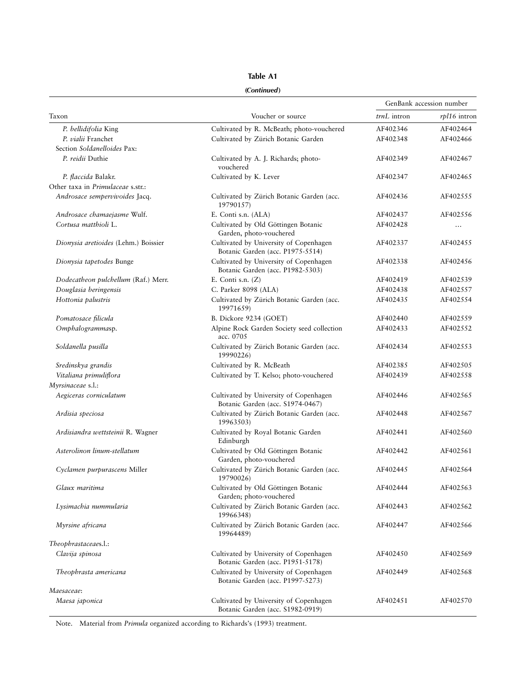| Table A1 |  |
|----------|--|
|----------|--|

**(***Continued***)**

|                                      |                                                                            |             | GenBank accession number |  |
|--------------------------------------|----------------------------------------------------------------------------|-------------|--------------------------|--|
| Taxon                                | Voucher or source                                                          | trnL intron | $rpl16$ intron           |  |
| P. bellidifolia King                 | Cultivated by R. McBeath; photo-vouchered                                  | AF402346    | AF402464                 |  |
| P. vialii Franchet                   | Cultivated by Zürich Botanic Garden                                        | AF402348    | AF402466                 |  |
| Section Soldanelloides Pax:          |                                                                            |             |                          |  |
| P. reidii Duthie                     | Cultivated by A. J. Richards; photo-<br>vouchered                          | AF402349    | AF402467                 |  |
| P. flaccida Balakr.                  | Cultivated by K. Lever                                                     | AF402347    | AF402465                 |  |
| Other taxa in Primulaceae s.str.:    |                                                                            |             |                          |  |
| Androsace sempervivoides Jacq.       | Cultivated by Zürich Botanic Garden (acc.<br>19790157)                     | AF402436    | AF402555                 |  |
| Androsace chamaejasme Wulf.          | E. Conti s.n. (ALA)                                                        | AF402437    | AF402556                 |  |
| Cortusa matthioli L.                 | Cultivated by Old Göttingen Botanic<br>Garden, photo-vouchered             | AF402428    |                          |  |
| Dionysia aretioides (Lehm.) Boissier | Cultivated by University of Copenhagen<br>Botanic Garden (acc. P1975-5514) | AF402337    | AF402455                 |  |
| Dionysia tapetodes Bunge             | Cultivated by University of Copenhagen<br>Botanic Garden (acc. P1982-5303) | AF402338    | AF402456                 |  |
| Dodecatheon pulchellum (Raf.) Merr.  | E. Conti s.n. $(Z)$                                                        | AF402419    | AF402539                 |  |
| Douglasia beringensis                | C. Parker 8098 (ALA)                                                       | AF402438    | AF402557                 |  |
| Hottonia palustris                   | Cultivated by Zürich Botanic Garden (acc.<br>19971659)                     | AF402435    | AF402554                 |  |
| Pomatosace filicula                  | B. Dickore 9234 (GOET)                                                     | AF402440    | AF402559                 |  |
| Omphalogrammasp.                     | Alpine Rock Garden Society seed collection<br>acc. 0705                    | AF402433    | AF402552                 |  |
| Soldanella pusilla                   | Cultivated by Zürich Botanic Garden (acc.<br>19990226)                     | AF402434    | AF402553                 |  |
| Sredinskya grandis                   | Cultivated by R. McBeath                                                   | AF402385    | AF402505                 |  |
| Vitaliana primuliflora               | Cultivated by T. Kelso; photo-vouchered                                    | AF402439    | AF402558                 |  |
| Myrsinaceae s.l.:                    |                                                                            |             |                          |  |
| Aegiceras corniculatum               | Cultivated by University of Copenhagen<br>Botanic Garden (acc. S1974-0467) | AF402446    | AF402565                 |  |
| Ardisia speciosa                     | Cultivated by Zürich Botanic Garden (acc.<br>19963503)                     | AF402448    | AF402567                 |  |
| Ardisiandra wettsteinii R. Wagner    | Cultivated by Royal Botanic Garden<br>Edinburgh                            | AF402441    | AF402560                 |  |
| Asterolinon linum-stellatum          | Cultivated by Old Göttingen Botanic<br>Garden, photo-vouchered             | AF402442    | AF402561                 |  |
| Cyclamen purpurascens Miller         | Cultivated by Zürich Botanic Garden (acc.<br>19790026)                     | AF402445    | AF402564                 |  |
| Glaux maritima                       | Cultivated by Old Göttingen Botanic<br>Garden; photo-vouchered             | AF402444    | AF402563                 |  |
| Lysimachia nummularia                | Cultivated by Zürich Botanic Garden (acc.<br>19966348)                     | AF402443    | AF402562                 |  |
| Myrsine africana                     | Cultivated by Zürich Botanic Garden (acc.<br>19964489)                     | AF402447    | AF402566                 |  |
| Theophrastaceaes.l.:                 |                                                                            |             |                          |  |
| Clavija spinosa                      | Cultivated by University of Copenhagen<br>Botanic Garden (acc. P1951-5178) | AF402450    | AF402569                 |  |
| Theophrasta americana                | Cultivated by University of Copenhagen<br>Botanic Garden (acc. P1997-5273) | AF402449    | AF402568                 |  |
| Maesaceae:                           |                                                                            |             |                          |  |
| Maesa japonica                       | Cultivated by University of Copenhagen<br>Botanic Garden (acc. S1982-0919) | AF402451    | AF402570                 |  |

Note. Material from *Primula* organized according to Richards's (1993) treatment.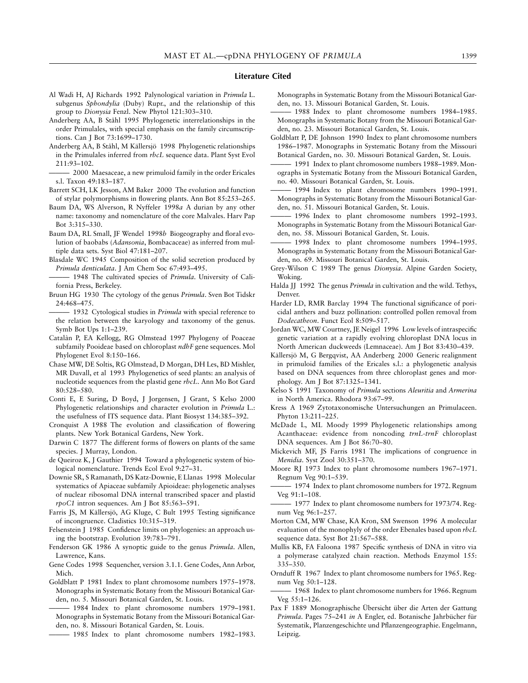#### **Literature Cited**

- Al Wadi H, AJ Richards 1992 Palynological variation in *Primula* L. subgenus *Sphondylia* (Duby) Rupr., and the relationship of this group to *Dionysia* Fenzl. New Phytol 121:303–310.
- Anderberg AA, B Ståhl 1995 Phylogenetic interrelationships in the order Primulales, with special emphasis on the family circumscriptions. Can J Bot 73:1699–1730.
- Anderberg AA, B Ståhl, M Källersjö 1998 Phylogenetic relationships in the Primulales inferred from *rbcL* sequence data. Plant Syst Evol 211:93–102.
- ——— 2000 Maesaceae, a new primuloid family in the order Ericales s.l. Taxon 49:183–187.
- Barrett SCH, LK Jesson, AM Baker 2000 The evolution and function of stylar polymorphisms in flowering plants. Ann Bot 85:253–265.
- Baum DA, WS Alverson, R Nyffeler 1998*a* A durian by any other name: taxonomy and nomenclature of the core Malvales. Harv Pap Bot 3:315–330.
- Baum DA, RL Small, JF Wendel 1998*b* Biogeography and floral evolution of baobabs (*Adansonia*, Bombacaceae) as inferred from multiple data sets. Syst Biol 47:181–207.
- Blasdale WC 1945 Composition of the solid secretion produced by *Primula denticulata*. J Am Chem Soc 67:493–495.
- ——— 1948 The cultivated species of *Primula*. University of California Press, Berkeley.
- Bruun HG 1930 The cytology of the genus *Primula*. Sven Bot Tidskr 24:468–475.
- 1932 Cytological studies in *Primula* with special reference to the relation between the karyology and taxonomy of the genus. Symb Bot Ups 1:1–239.
- Catala`n P, EA Kellogg, RG Olmstead 1997 Phylogeny of Poaceae subfamily Pooideae based on chloroplast *ndhF* gene sequences. Mol Phylogenet Evol 8:150–166.
- Chase MW, DE Soltis, RG Olmstead, D Morgan, DH Les, BD Mishler, MR Duvall, et al 1993 Phylogenetics of seed plants: an analysis of nucleotide sequences from the plastid gene *rbcL*. Ann Mo Bot Gard 80:528–580.
- Conti E, E Suring, D Boyd, J Jorgensen, J Grant, S Kelso 2000 Phylogenetic relationships and character evolution in *Primula* L.: the usefulness of ITS sequence data. Plant Biosyst 134:385–392.
- Cronquist A 1988 The evolution and classification of flowering plants. New York Botanical Gardens, New York.
- Darwin C 1877 The different forms of flowers on plants of the same species. J Murray, London.
- de Queiroz K, J Gauthier 1994 Toward a phylogenetic system of biological nomenclature. Trends Ecol Evol 9:27–31.
- Downie SR, S Ramanath, DS Katz-Downie, E Llanas 1998 Molecular systematics of Apiaceae subfamily Apioideae: phylogenetic analyses of nuclear ribosomal DNA internal transcribed spacer and plastid *rpoC1* intron sequences. Am J Bot 85:563–591.
- Farris JS, M Källersjö, AG Kluge, C Bult 1995 Testing significance of incongruence. Cladistics 10:315–319.
- Felsenstein J 1985 Confidence limits on phylogenies: an approach using the bootstrap. Evolution 39:783–791.
- Fenderson GK 1986 A synoptic guide to the genus *Primula*. Allen, Lawrence, Kans.
- Gene Codes 1998 Sequencher, version 3.1.1. Gene Codes, Ann Arbor, Mich.
- Goldblatt P 1981 Index to plant chromosome numbers 1975–1978. Monographs in Systematic Botany from the Missouri Botanical Garden, no. 5. Missouri Botanical Garden, St. Louis.
- 1984 Index to plant chromosome numbers 1979-1981. Monographs in Systematic Botany from the Missouri Botanical Garden, no. 8. Missouri Botanical Garden, St. Louis.
- 1985 Index to plant chromosome numbers 1982-1983.

Monographs in Systematic Botany from the Missouri Botanical Garden, no. 13. Missouri Botanical Garden, St. Louis.

- 1988 Index to plant chromosome numbers 1984-1985. Monographs in Systematic Botany from the Missouri Botanical Garden, no. 23. Missouri Botanical Garden, St. Louis.
- Goldblatt P, DE Johnson 1990 Index to plant chromosome numbers 1986–1987. Monographs in Systematic Botany from the Missouri Botanical Garden, no. 30. Missouri Botanical Garden, St. Louis.
- 1991 Index to plant chromosome numbers 1988–1989. Monographs in Systematic Botany from the Missouri Botanical Garden, no. 40. Missouri Botanical Garden, St. Louis.
- 1994 Index to plant chromosome numbers 1990-1991. Monographs in Systematic Botany from the Missouri Botanical Garden, no. 51. Missouri Botanical Garden, St. Louis.
- 1996 Index to plant chromosome numbers 1992–1993. Monographs in Systematic Botany from the Missouri Botanical Garden, no. 58. Missouri Botanical Garden, St. Louis.
- 1998 Index to plant chromosome numbers 1994-1995. Monographs in Systematic Botany from the Missouri Botanical Garden, no. 69. Missouri Botanical Garden, St. Louis.
- Grey-Wilson C 1989 The genus *Dionysia*. Alpine Garden Society, Woking.
- Halda JJ 1992 The genus *Primula* in cultivation and the wild. Tethys, Denver.
- Harder LD, RMR Barclay 1994 The functional significance of poricidal anthers and buzz pollination: controlled pollen removal from *Dodecatheon*. Funct Ecol 8:509–517.
- Jordan WC, MW Courtney, JE Neigel 1996 Low levels of intraspecific genetic variation at a rapidly evolving chloroplast DNA locus in North American duckweeds (Lemnaceae). Am J Bot 83:430–439.
- Källersjö M, G Bergqvist, AA Anderberg 2000 Generic realignment in primuloid families of the Ericales s.l.: a phylogenetic analysis based on DNA sequences from three chloroplast genes and morphology. Am J Bot 87:1325–1341.
- Kelso S 1991 Taxonomy of *Primula* sections *Aleuritia* and *Armerina* in North America. Rhodora 93:67–99.
- Kress A 1969 Zytotaxonomische Untersuchungen an Primulaceen. Phyton 13:211–225.
- McDade L, ML Moody 1999 Phylogenetic relationships among Acanthaceae: evidence from noncoding *trnL*-*trnF* chloroplast DNA sequences. Am J Bot 86:70–80.
- Mickevich MF, JS Farris 1981 The implications of congruence in *Menidia*. Syst Zool 30:351–370.
- Moore RJ 1973 Index to plant chromosome numbers 1967–1971. Regnum Veg 90:1–539.
- 1974 Index to plant chromosome numbers for 1972. Regnum Veg 91:1–108.
- 1977 Index to plant chromosome numbers for 1973/74. Regnum Veg 96:1–257.
- Morton CM, MW Chase, KA Kron, SM Swenson 1996 A molecular evaluation of the monophyly of the order Ebenales based upon *rbcL* sequence data. Syst Bot 21:567–588.
- Mullis KB, FA Faloona 1987 Specific synthesis of DNA in vitro via a polymerase catalyzed chain reaction. Methods Enzymol 155: 335–350.
- Ornduff R 1967 Index to plant chromosome numbers for 1965. Regnum Veg 50:1–128.
- ——— 1968 Index to plant chromosome numbers for 1966. Regnum Veg 55:1–126.
- Pax F 1889 Monographische Übersicht über die Arten der Gattung Primula. Pages 75–241 in A Engler, ed. Botanische Jahrbücher für Systematik, Planzengeschichte und Pflanzengeographie. Engelmann, Leipzig.